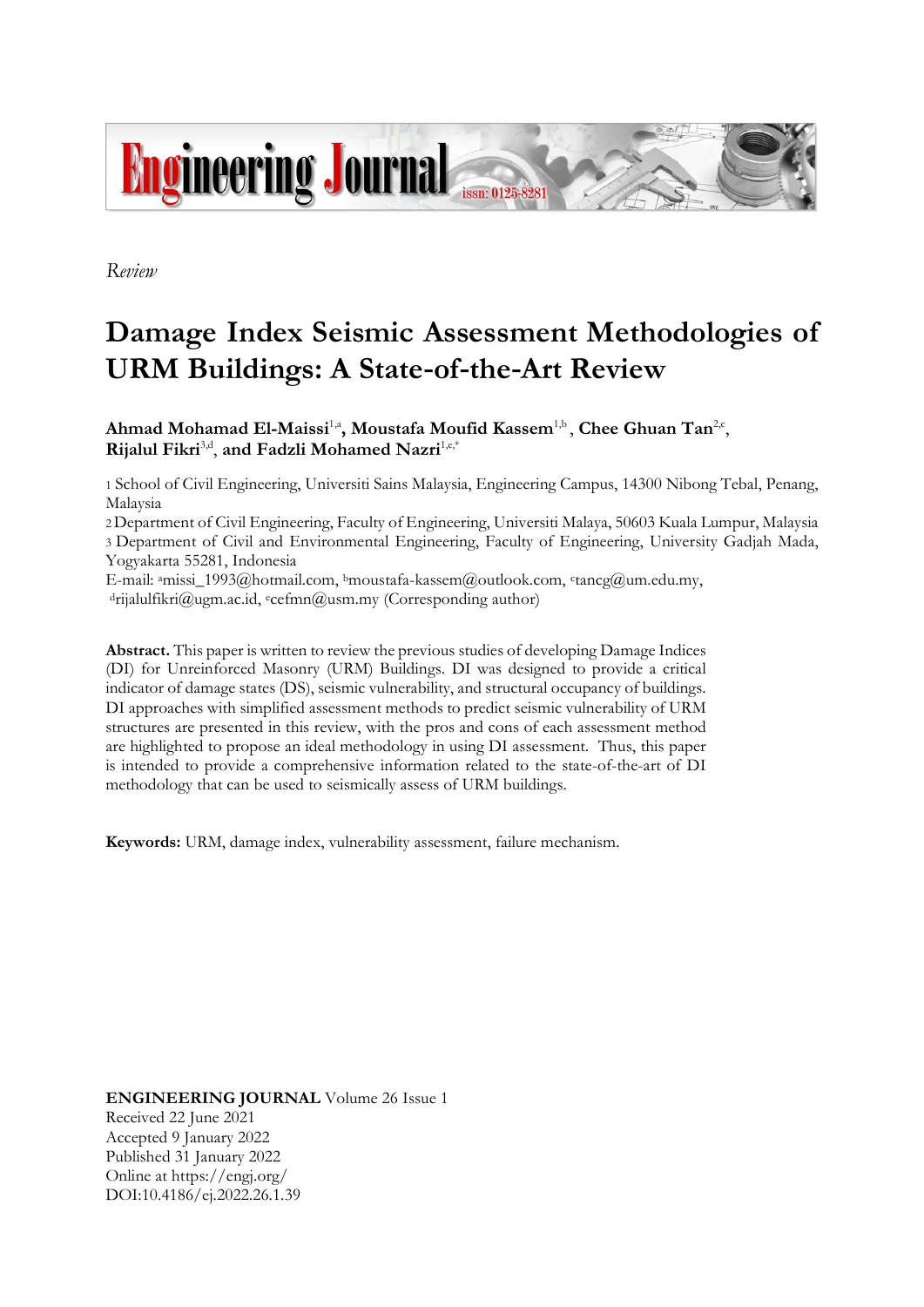

*Review*

# **Damage Index Seismic Assessment Methodologies of URM Buildings: A State-of-the-Art Review**

 $\mathbf{A}$ hmad  $\mathbf{M}$ ohamad  $\mathbf{E}$ l-Maissi<sup>1,a</sup>, Moustafa  $\mathbf{M}$ oufid  $\mathbf{K}$ assem<sup>1,b</sup>, Chee Ghuan  $\mathbf{T}$ an<sup>2,c</sup>, **Rijalul Fikri**3,d , **and Fadzli Mohamed Nazri**1,e,\*

1 School of Civil Engineering, Universiti Sains Malaysia, Engineering Campus, 14300 Nibong Tebal, Penang, Malaysia

2Department of Civil Engineering, Faculty of Engineering, Universiti Malaya, 50603 Kuala Lumpur, Malaysia 3 Department of Civil and Environmental Engineering, Faculty of Engineering, University Gadjah Mada, Yogyakarta 55281, Indonesia

E-mail: <sup>a</sup>missi\_1993@hotmail.com, <sup>b</sup>moustafa-kassem@outlook.com, <sup>c</sup>tancg@um.edu.my, <sup>d</sup>rijalulfikri@ugm.ac.id, <sup>e</sup>cefmn@usm.my (Corresponding author)

**Abstract.** This paper is written to review the previous studies of developing Damage Indices (DI) for Unreinforced Masonry (URM) Buildings. DI was designed to provide a critical indicator of damage states (DS), seismic vulnerability, and structural occupancy of buildings. DI approaches with simplified assessment methods to predict seismic vulnerability of URM structures are presented in this review, with the pros and cons of each assessment method are highlighted to propose an ideal methodology in using DI assessment. Thus, this paper is intended to provide a comprehensive information related to the state-of-the-art of DI methodology that can be used to seismically assess of URM buildings.

**Keywords:** URM, damage index, vulnerability assessment, failure mechanism.

**ENGINEERING JOURNAL** Volume 26 Issue 1 Received 22 June 2021 Accepted 9 January 2022 Published 31 January 2022 Online at https://engj.org/ DOI:10.4186/ej.2022.26.1.39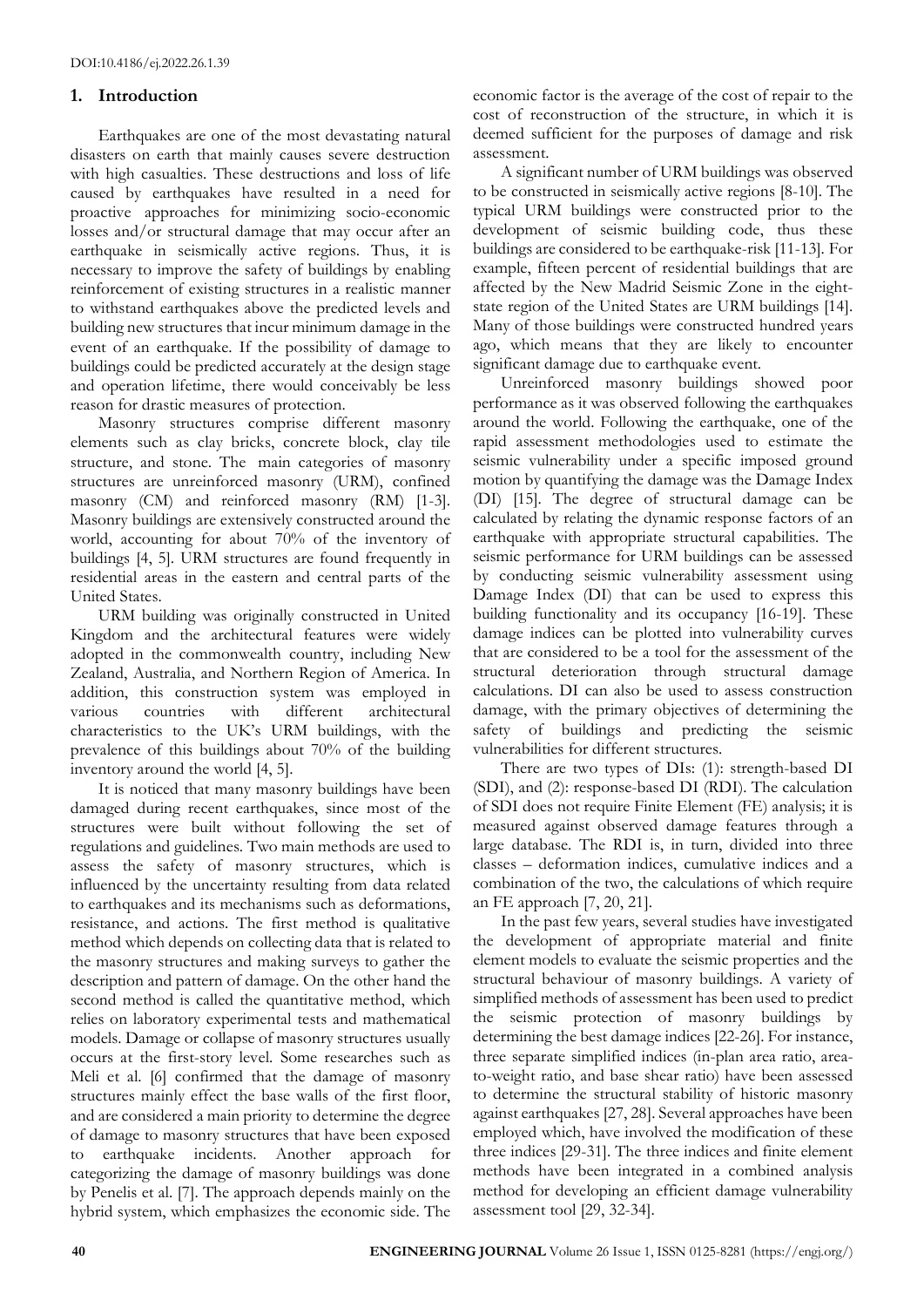# **1. Introduction**

Earthquakes are one of the most devastating natural disasters on earth that mainly causes severe destruction with high casualties. These destructions and loss of life caused by earthquakes have resulted in a need for proactive approaches for minimizing socio-economic losses and/or structural damage that may occur after an earthquake in seismically active regions. Thus, it is necessary to improve the safety of buildings by enabling reinforcement of existing structures in a realistic manner to withstand earthquakes above the predicted levels and building new structures that incur minimum damage in the event of an earthquake. If the possibility of damage to buildings could be predicted accurately at the design stage and operation lifetime, there would conceivably be less reason for drastic measures of protection.

Masonry structures comprise different masonry elements such as clay bricks, concrete block, clay tile structure, and stone. The main categories of masonry structures are unreinforced masonry (URM), confined masonry (CM) and reinforced masonry (RM) [1-3]. Masonry buildings are extensively constructed around the world, accounting for about 70% of the inventory of buildings [4, 5]. URM structures are found frequently in residential areas in the eastern and central parts of the United States.

URM building was originally constructed in United Kingdom and the architectural features were widely adopted in the commonwealth country, including New Zealand, Australia, and Northern Region of America. In addition, this construction system was employed in various countries with different architectural characteristics to the UK's URM buildings, with the prevalence of this buildings about 70% of the building inventory around the world [4, 5].

It is noticed that many masonry buildings have been damaged during recent earthquakes, since most of the structures were built without following the set of regulations and guidelines. Two main methods are used to assess the safety of masonry structures, which is influenced by the uncertainty resulting from data related to earthquakes and its mechanisms such as deformations, resistance, and actions. The first method is qualitative method which depends on collecting data that is related to the masonry structures and making surveys to gather the description and pattern of damage. On the other hand the second method is called the quantitative method, which relies on laboratory experimental tests and mathematical models. Damage or collapse of masonry structures usually occurs at the first-story level. Some researches such as Meli et al. [6] confirmed that the damage of masonry structures mainly effect the base walls of the first floor, and are considered a main priority to determine the degree of damage to masonry structures that have been exposed to earthquake incidents. Another approach for categorizing the damage of masonry buildings was done by Penelis et al. [7]. The approach depends mainly on the hybrid system, which emphasizes the economic side. The economic factor is the average of the cost of repair to the cost of reconstruction of the structure, in which it is deemed sufficient for the purposes of damage and risk assessment.

A significant number of URM buildings was observed to be constructed in seismically active regions [8-10]. The typical URM buildings were constructed prior to the development of seismic building code, thus these buildings are considered to be earthquake-risk [11-13]. For example, fifteen percent of residential buildings that are affected by the New Madrid Seismic Zone in the eightstate region of the United States are URM buildings [14]. Many of those buildings were constructed hundred years ago, which means that they are likely to encounter significant damage due to earthquake event.

Unreinforced masonry buildings showed poor performance as it was observed following the earthquakes around the world. Following the earthquake, one of the rapid assessment methodologies used to estimate the seismic vulnerability under a specific imposed ground motion by quantifying the damage was the Damage Index (DI) [15]. The degree of structural damage can be calculated by relating the dynamic response factors of an earthquake with appropriate structural capabilities. The seismic performance for URM buildings can be assessed by conducting seismic vulnerability assessment using Damage Index (DI) that can be used to express this building functionality and its occupancy [16-19]. These damage indices can be plotted into vulnerability curves that are considered to be a tool for the assessment of the structural deterioration through structural damage calculations. DI can also be used to assess construction damage, with the primary objectives of determining the safety of buildings and predicting the seismic vulnerabilities for different structures.

There are two types of DIs: (1): strength-based DI (SDI), and (2): response-based DI (RDI). The calculation of SDI does not require Finite Element (FE) analysis; it is measured against observed damage features through a large database. The RDI is, in turn, divided into three classes – deformation indices, cumulative indices and a combination of the two, the calculations of which require an FE approach [7, 20, 21].

In the past few years, several studies have investigated the development of appropriate material and finite element models to evaluate the seismic properties and the structural behaviour of masonry buildings. A variety of simplified methods of assessment has been used to predict the seismic protection of masonry buildings by determining the best damage indices [22-26]. For instance, three separate simplified indices (in-plan area ratio, areato-weight ratio, and base shear ratio) have been assessed to determine the structural stability of historic masonry against earthquakes [27, 28]. Several approaches have been employed which, have involved the modification of these three indices [29-31]. The three indices and finite element methods have been integrated in a combined analysis method for developing an efficient damage vulnerability assessment tool [29, 32-34].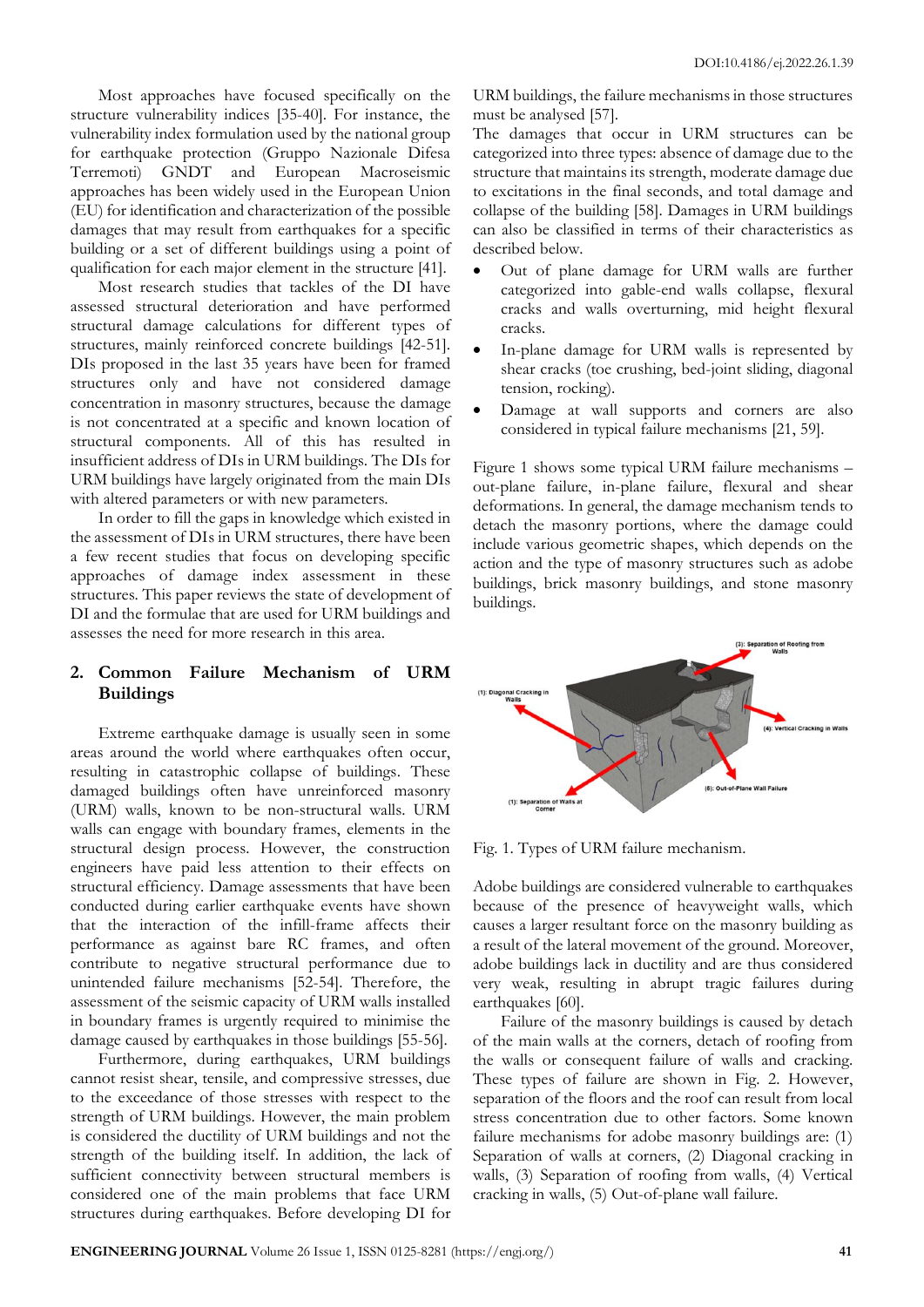Most approaches have focused specifically on the structure vulnerability indices [35-40]. For instance, the vulnerability index formulation used by the national group for earthquake protection (Gruppo Nazionale Difesa Terremoti) GNDT and European Macroseismic approaches has been widely used in the European Union (EU) for identification and characterization of the possible damages that may result from earthquakes for a specific building or a set of different buildings using a point of qualification for each major element in the structure [41].

Most research studies that tackles of the DI have assessed structural deterioration and have performed structural damage calculations for different types of structures, mainly reinforced concrete buildings [42-51]. DIs proposed in the last 35 years have been for framed structures only and have not considered damage concentration in masonry structures, because the damage is not concentrated at a specific and known location of structural components. All of this has resulted in insufficient address of DIs in URM buildings. The DIs for URM buildings have largely originated from the main DIs with altered parameters or with new parameters.

In order to fill the gaps in knowledge which existed in the assessment of DIs in URM structures, there have been a few recent studies that focus on developing specific approaches of damage index assessment in these structures. This paper reviews the state of development of DI and the formulae that are used for URM buildings and assesses the need for more research in this area.

# **2. Common Failure Mechanism of URM Buildings**

Extreme earthquake damage is usually seen in some areas around the world where earthquakes often occur, resulting in catastrophic collapse of buildings. These damaged buildings often have unreinforced masonry (URM) walls, known to be non-structural walls. URM walls can engage with boundary frames, elements in the structural design process. However, the construction engineers have paid less attention to their effects on structural efficiency. Damage assessments that have been conducted during earlier earthquake events have shown that the interaction of the infill-frame affects their performance as against bare RC frames, and often contribute to negative structural performance due to unintended failure mechanisms [52-54]. Therefore, the assessment of the seismic capacity of URM walls installed in boundary frames is urgently required to minimise the damage caused by earthquakes in those buildings [55-56].

Furthermore, during earthquakes, URM buildings cannot resist shear, tensile, and compressive stresses, due to the exceedance of those stresses with respect to the strength of URM buildings. However, the main problem is considered the ductility of URM buildings and not the strength of the building itself. In addition, the lack of sufficient connectivity between structural members is considered one of the main problems that face URM structures during earthquakes. Before developing DI for URM buildings, the failure mechanisms in those structures must be analysed [57].

The damages that occur in URM structures can be categorized into three types: absence of damage due to the structure that maintains its strength, moderate damage due to excitations in the final seconds, and total damage and collapse of the building [58]. Damages in URM buildings can also be classified in terms of their characteristics as described below.

- Out of plane damage for URM walls are further categorized into gable-end walls collapse, flexural cracks and walls overturning, mid height flexural cracks.
- In-plane damage for URM walls is represented by shear cracks (toe crushing, bed-joint sliding, diagonal tension, rocking).
- Damage at wall supports and corners are also considered in typical failure mechanisms [21, 59].

Figure 1 shows some typical URM failure mechanisms – out-plane failure, in-plane failure, flexural and shear deformations. In general, the damage mechanism tends to detach the masonry portions, where the damage could include various geometric shapes, which depends on the action and the type of masonry structures such as adobe buildings, brick masonry buildings, and stone masonry buildings.



Fig. 1. Types of URM failure mechanism.

Adobe buildings are considered vulnerable to earthquakes because of the presence of heavyweight walls, which causes a larger resultant force on the masonry building as a result of the lateral movement of the ground. Moreover, adobe buildings lack in ductility and are thus considered very weak, resulting in abrupt tragic failures during earthquakes [60].

Failure of the masonry buildings is caused by detach of the main walls at the corners, detach of roofing from the walls or consequent failure of walls and cracking. These types of failure are shown in Fig. 2. However, separation of the floors and the roof can result from local stress concentration due to other factors. Some known failure mechanisms for adobe masonry buildings are: (1) Separation of walls at corners, (2) Diagonal cracking in walls, (3) Separation of roofing from walls, (4) Vertical cracking in walls, (5) Out-of-plane wall failure.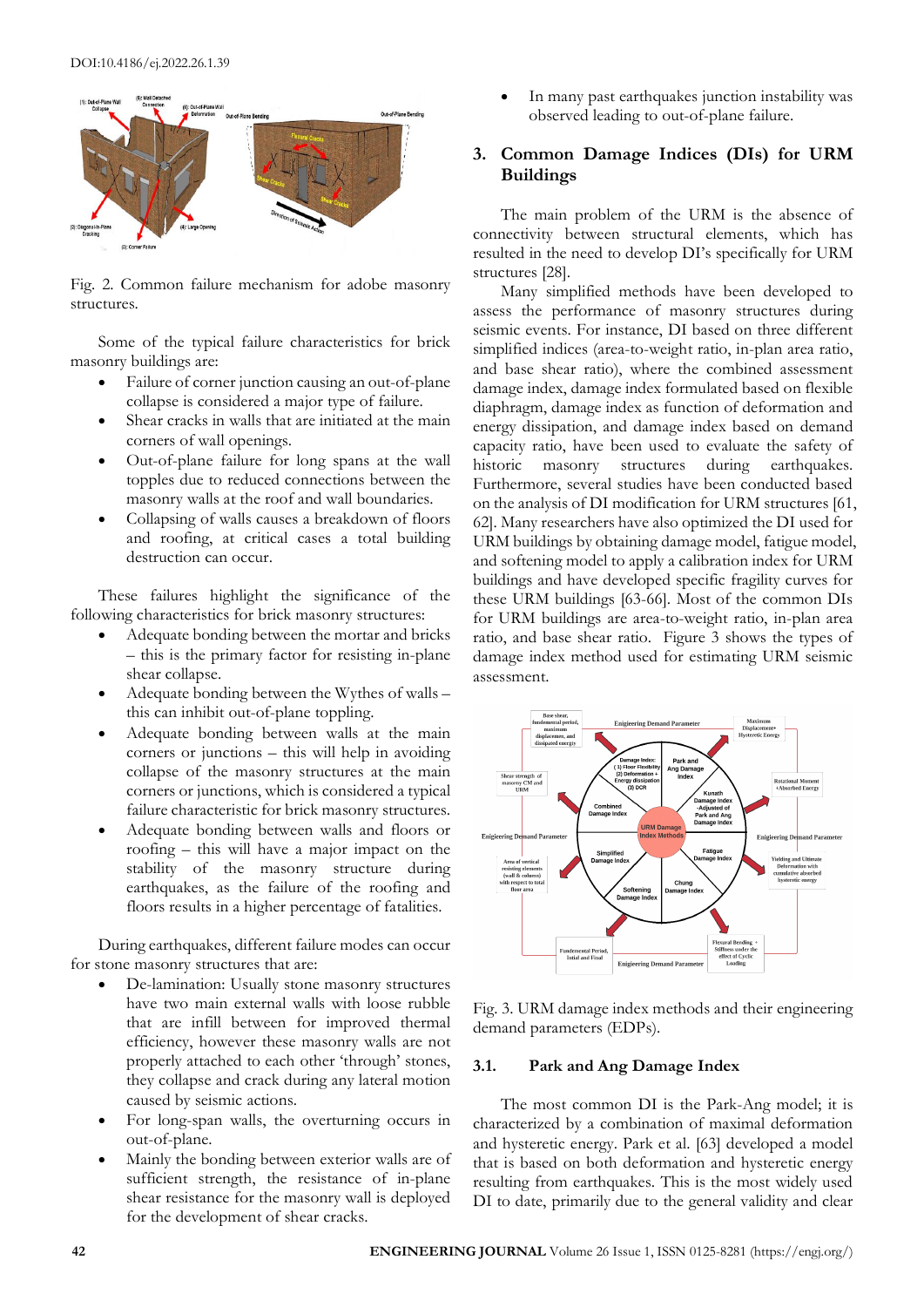

Fig. 2. Common failure mechanism for adobe masonry structures.

Some of the typical failure characteristics for brick masonry buildings are:

- Failure of corner junction causing an out-of-plane collapse is considered a major type of failure.
- Shear cracks in walls that are initiated at the main corners of wall openings.
- Out-of-plane failure for long spans at the wall topples due to reduced connections between the masonry walls at the roof and wall boundaries.
- Collapsing of walls causes a breakdown of floors and roofing, at critical cases a total building destruction can occur.

These failures highlight the significance of the following characteristics for brick masonry structures:

- Adequate bonding between the mortar and bricks – this is the primary factor for resisting in-plane shear collapse.
- Adequate bonding between the Wythes of walls this can inhibit out-of-plane toppling.
- Adequate bonding between walls at the main corners or junctions – this will help in avoiding collapse of the masonry structures at the main corners or junctions, which is considered a typical failure characteristic for brick masonry structures.
- Adequate bonding between walls and floors or roofing – this will have a major impact on the stability of the masonry structure during earthquakes, as the failure of the roofing and floors results in a higher percentage of fatalities.

During earthquakes, different failure modes can occur for stone masonry structures that are:

- De-lamination: Usually stone masonry structures have two main external walls with loose rubble that are infill between for improved thermal efficiency, however these masonry walls are not properly attached to each other 'through' stones, they collapse and crack during any lateral motion caused by seismic actions.
- For long-span walls, the overturning occurs in out-of-plane.
- Mainly the bonding between exterior walls are of sufficient strength, the resistance of in-plane shear resistance for the masonry wall is deployed for the development of shear cracks.

In many past earthquakes junction instability was observed leading to out-of-plane failure.

# **3. Common Damage Indices (DIs) for URM Buildings**

The main problem of the URM is the absence of connectivity between structural elements, which has resulted in the need to develop DI's specifically for URM structures [28].

Many simplified methods have been developed to assess the performance of masonry structures during seismic events. For instance, DI based on three different simplified indices (area-to-weight ratio, in-plan area ratio, and base shear ratio), where the combined assessment damage index, damage index formulated based on flexible diaphragm, damage index as function of deformation and energy dissipation, and damage index based on demand capacity ratio, have been used to evaluate the safety of historic masonry structures during earthquakes. Furthermore, several studies have been conducted based on the analysis of DI modification for URM structures [61, 62]. Many researchers have also optimized the DI used for URM buildings by obtaining damage model, fatigue model, and softening model to apply a calibration index for URM buildings and have developed specific fragility curves for these URM buildings [63-66]. Most of the common DIs for URM buildings are area-to-weight ratio, in-plan area ratio, and base shear ratio. Figure 3 shows the types of damage index method used for estimating URM seismic assessment.



Fig. 3. URM damage index methods and their engineering demand parameters (EDPs).

#### **3.1. Park and Ang Damage Index**

The most common DI is the Park-Ang model; it is characterized by a combination of maximal deformation and hysteretic energy. Park et al. [63] developed a model that is based on both deformation and hysteretic energy resulting from earthquakes. This is the most widely used DI to date, primarily due to the general validity and clear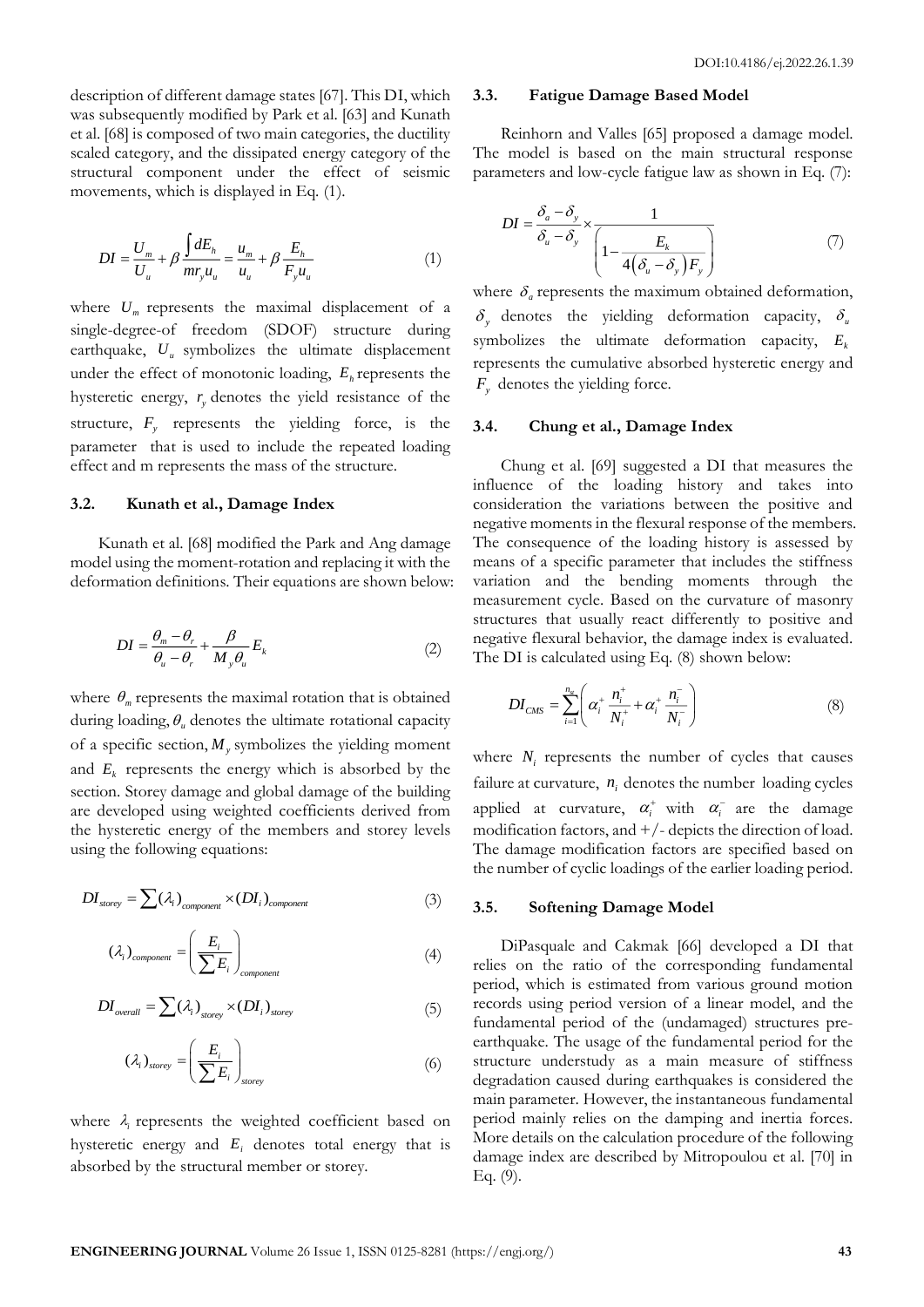description of different damage states [67]. This DI, which was subsequently modified by Park et al. [63] and Kunath et al. [68] is composed of two main categories, the ductility scaled category, and the dissipated energy category of the structural component under the effect of seismic movements, which is displayed in Eq. (1).

$$
DI = \frac{U_m}{U_u} + \beta \frac{\int dE_h}{mr_y u_u} = \frac{u_m}{u_u} + \beta \frac{E_h}{F_y u_u}
$$
(1)

where  $U_m$  represents the maximal displacement of a single-degree-of freedom (SDOF) structure during earthquake,  $U_u$  symbolizes the ultimate displacement under the effect of monotonic loading,  $E_h$  represents the hysteretic energy,  $r<sub>y</sub>$  denotes the yield resistance of the structure,  $F_y$  represents the yielding force, is the parameter that is used to include the repeated loading effect and m represents the mass of the structure.

## **3.2. Kunath et al., Damage Index**

Kunath et al. [68] modified the Park and Ang damage model using the moment-rotation and replacing it with the deformation definitions. Their equations are shown below:

$$
DI = \frac{\theta_m - \theta_r}{\theta_u - \theta_r} + \frac{\beta}{M_y \theta_u} E_k
$$
 (2)

where  $\theta_m$  represents the maximal rotation that is obtained during loading,  $\theta_u$  denotes the ultimate rotational capacity of a specific section,  $M<sub>y</sub>$  symbolizes the yielding moment and  $E_k$  represents the energy which is absorbed by the section. Storey damage and global damage of the building are developed using weighted coefficients derived from the hysteretic energy of the members and storey levels using the following equations:

$$
DI_{\text{storey}} = \sum (\lambda_i)_{\text{component}} \times (DI_i)_{\text{component}}
$$
 (3)

$$
\left(\lambda_{i}\right)_{component} = \left(\frac{E_{i}}{\sum E_{i}}\right)_{component}
$$
\n(4)

$$
DI_{overall} = \sum (\lambda_i)_{\text{sorey}} \times (DI_i)_{\text{sorey}}
$$
(5)

$$
\left(\lambda_{i}\right)_{\text{storey}} = \left(\frac{E_{i}}{\sum E_{i}}\right)_{\text{storey}}
$$
\n<sup>(6)</sup>

where  $\lambda_i$  represents the weighted coefficient based on hysteretic energy and  $E_i$  denotes total energy that is absorbed by the structural member or storey.

#### **3.3. Fatigue Damage Based Model**

Reinhorn and Valles [65] proposed a damage model. The model is based on the main structural response parameters and low-cycle fatigue law as shown in Eq. (7):

$$
DI = \frac{\delta_a - \delta_y}{\delta_u - \delta_y} \times \frac{1}{\left(1 - \frac{E_k}{4(\delta_u - \delta_y)F_y}\right)}
$$
(7)

where  $\delta_a$  represents the maximum obtained deformation,  $\delta_y$  denotes the yielding deformation capacity,  $\delta_u$ symbolizes the ultimate deformation capacity,  $E_k$ represents the cumulative absorbed hysteretic energy and *F y* denotes the yielding force.

#### **3.4. Chung et al., Damage Index**

Chung et al. [69] suggested a DI that measures the influence of the loading history and takes into consideration the variations between the positive and negative moments in the flexural response of the members. The consequence of the loading history is assessed by means of a specific parameter that includes the stiffness variation and the bending moments through the measurement cycle. Based on the curvature of masonry structures that usually react differently to positive and negative flexural behavior, the damage index is evaluated. The DI is calculated using Eq. (8) shown below:

$$
DI_{CMS} = \sum_{i=1}^{n_{\rm sr}} \left( \alpha_i^+ \frac{n_i^+}{N_i^+} + \alpha_i^+ \frac{n_i^-}{N_i^-} \right) \tag{8}
$$

where  $N_i$  represents the number of cycles that causes failure at curvature,  $n_i$  denotes the number loading cycles applied at curvature,  $\alpha_i^+$  with  $\alpha_i^-$  are the damage modification factors, and  $+/-$  depicts the direction of load. The damage modification factors are specified based on the number of cyclic loadings of the earlier loading period.

## **3.5. Softening Damage Model**

DiPasquale and Cakmak [66] developed a DI that relies on the ratio of the corresponding fundamental period, which is estimated from various ground motion records using period version of a linear model, and the fundamental period of the (undamaged) structures preearthquake. The usage of the fundamental period for the structure understudy as a main measure of stiffness degradation caused during earthquakes is considered the main parameter. However, the instantaneous fundamental period mainly relies on the damping and inertia forces. More details on the calculation procedure of the following damage index are described by Mitropoulou et al. [70] in Eq. (9).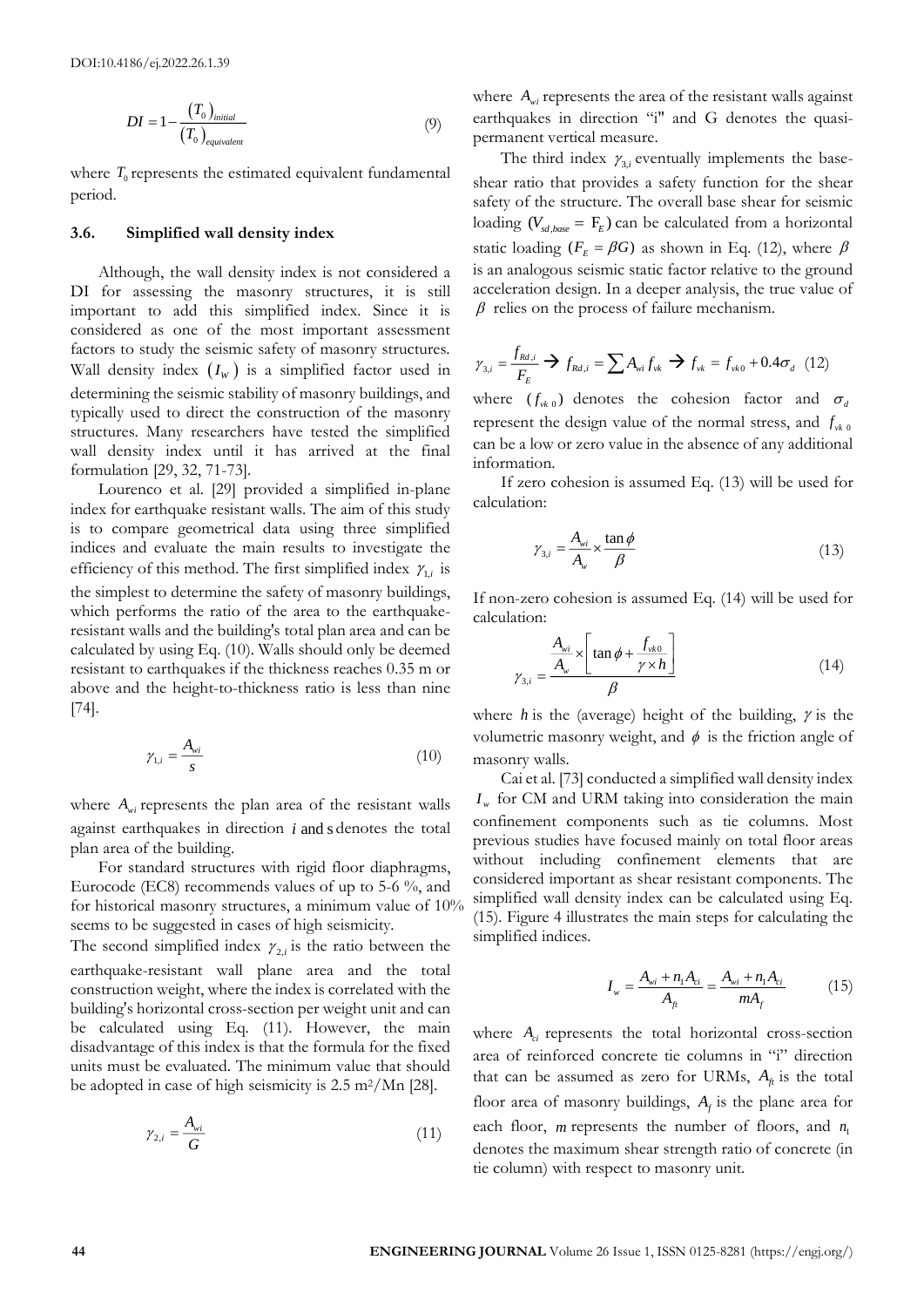$$
DI = 1 - \frac{(T_0)_{initial}}{(T_0)_{equivalent}} \tag{9}
$$

where  $T_0$  represents the estimated equivalent fundamental period.

#### **3.6. Simplified wall density index**

Although, the wall density index is not considered a DI for assessing the masonry structures, it is still important to add this simplified index. Since it is considered as one of the most important assessment factors to study the seismic safety of masonry structures. Wall density index  $(I_w)$  is a simplified factor used in determining the seismic stability of masonry buildings, and typically used to direct the construction of the masonry structures. Many researchers have tested the simplified wall density index until it has arrived at the final formulation [29, 32, 71-73].

Lourenco et al. [29] provided a simplified in-plane index for earthquake resistant walls. The aim of this study is to compare geometrical data using three simplified indices and evaluate the main results to investigate the efficiency of this method. The first simplified index  $\gamma_{1,i}$  is the simplest to determine the safety of masonry buildings, which performs the ratio of the area to the earthquakeresistant walls and the building's total plan area and can be calculated by using Eq. (10). Walls should only be deemed resistant to earthquakes if the thickness reaches 0.35 m or above and the height-to-thickness ratio is less than nine [74].

$$
\gamma_{1,i} = \frac{A_{wi}}{s} \tag{10}
$$

where  $A_{wi}$  represents the plan area of the resistant walls against earthquakes in direction *i* and s denotes the total plan area of the building.

For standard structures with rigid floor diaphragms, Eurocode (EC8) recommends values of up to 5-6 %, and for historical masonry structures, a minimum value of 10% seems to be suggested in cases of high seismicity.

The second simplified index  $\gamma_{2,i}$  is the ratio between the earthquake-resistant wall plane area and the total construction weight, where the index is correlated with the building's horizontal cross-section per weight unit and can be calculated using Eq. (11). However, the main disadvantage of this index is that the formula for the fixed units must be evaluated. The minimum value that should be adopted in case of high seismicity is  $2.5 \text{ m}^2/\text{Mn}$  [28].

$$
\gamma_{2,i} = \frac{A_{wi}}{G} \tag{11}
$$

where  $A_{wi}$  represents the area of the resistant walls against earthquakes in direction "i" and G denotes the quasipermanent vertical measure.

The third index  $\gamma_{3,i}$  eventually implements the baseshear ratio that provides a safety function for the shear safety of the structure. The overall base shear for seismic loading ( $V_{sd,base} = F_E$ ) can be calculated from a horizontal static loading ( $F<sub>E</sub> = \beta G$ ) as shown in Eq. (12), where  $\beta$ is an analogous seismic static factor relative to the ground acceleration design. In a deeper analysis, the true value of  $\beta$  relies on the process of failure mechanism.

$$
\gamma_{3,i} = \frac{f_{Rd,i}}{F_E} \Rightarrow f_{Rd,i} = \sum A_{wi} f_{vk} \Rightarrow f_{vk} = f_{vk0} + 0.4 \sigma_d
$$
 (12)

where  $(f_{\nu k,0})$  denotes the cohesion factor and  $\sigma_d$ represent the design value of the normal stress, and  $f_{\nu k0}$ can be a low or zero value in the absence of any additional information.

If zero cohesion is assumed Eq. (13) will be used for calculation:

$$
\gamma_{3,i} = \frac{A_{wi}}{A_w} \times \frac{\tan \phi}{\beta} \tag{13}
$$

If non-zero cohesion is assumed Eq. (14) will be used for calculation:

$$
\gamma_{3,i} = \frac{\frac{A_{wi}}{A_w} \times \left[\tan\phi + \frac{f_{wb}}{\gamma \times h}\right]}{\beta} \tag{14}
$$

where  $h$  is the (average) height of the building,  $\gamma$  is the volumetric masonry weight, and  $\phi$  is the friction angle of masonry walls.

Cai et al. [73] conducted a simplified wall density index  $I<sub>w</sub>$  for CM and URM taking into consideration the main confinement components such as tie columns. Most previous studies have focused mainly on total floor areas without including confinement elements that are considered important as shear resistant components. The simplified wall density index can be calculated using Eq. (15). Figure 4 illustrates the main steps for calculating the simplified indices.

$$
I_{w} = \frac{A_{wi} + n_{1}A_{ci}}{A_{fi}} = \frac{A_{wi} + n_{1}A_{ci}}{mA_{f}}
$$
(15)

where  $A_{ci}$  represents the total horizontal cross-section area of reinforced concrete tie columns in "i" direction that can be assumed as zero for URMs,  $A_f$  is the total floor area of masonry buildings,  $A_f$  is the plane area for each floor, *m* represents the number of floors, and  $n_1$ denotes the maximum shear strength ratio of concrete (in tie column) with respect to masonry unit.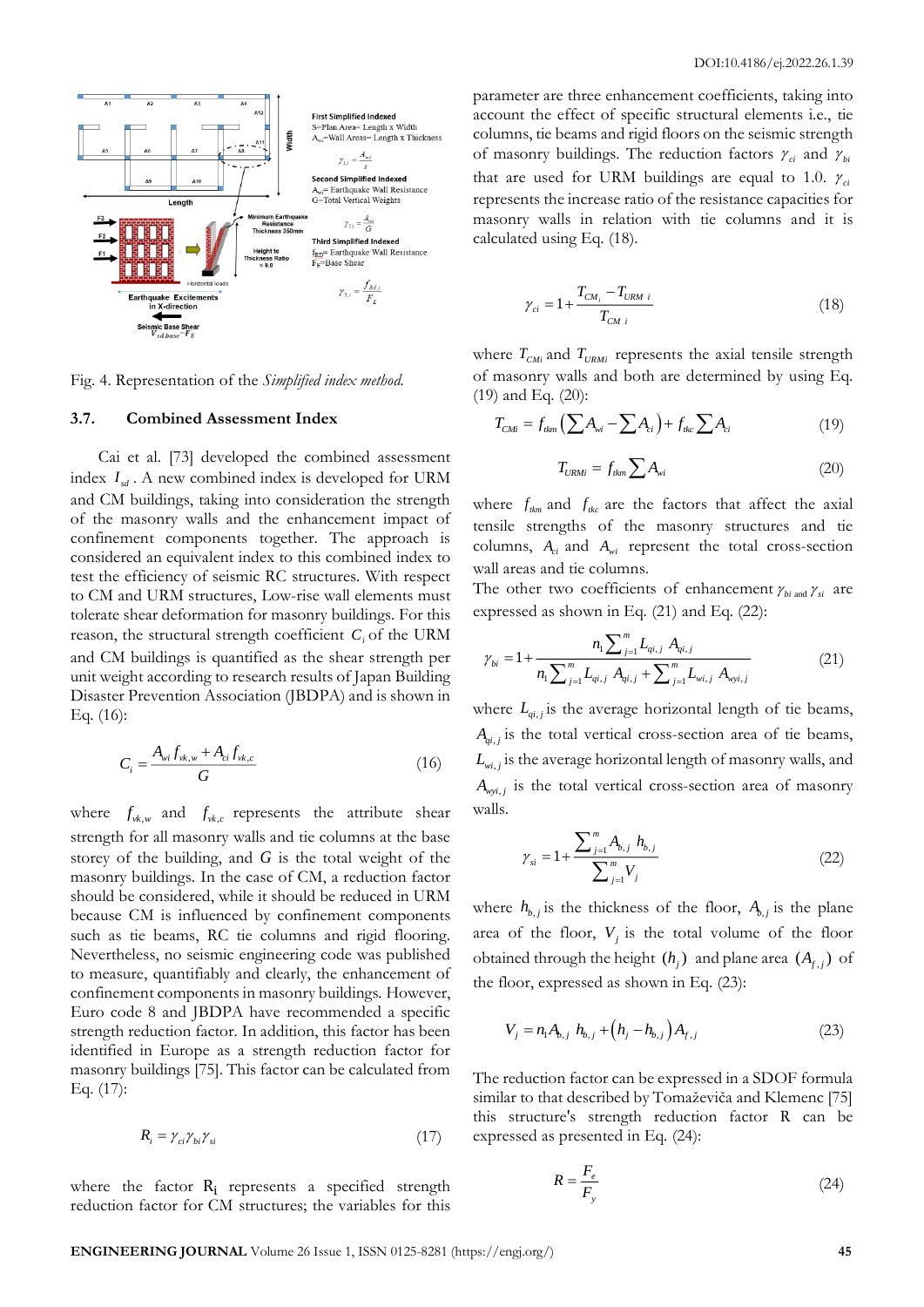

Fig. 4. Representation of the *Simplified index method.*

### **3.7. Combined Assessment Index**

Cai et al. [73] developed the combined assessment index  $I_{sd}$ . A new combined index is developed for URM and CM buildings, taking into consideration the strength of the masonry walls and the enhancement impact of confinement components together. The approach is considered an equivalent index to this combined index to test the efficiency of seismic RC structures. With respect to CM and URM structures, Low-rise wall elements must tolerate shear deformation for masonry buildings. For this reason, the structural strength coefficient  $C_i$  of the URM and CM buildings is quantified as the shear strength per unit weight according to research results of Japan Building Disaster Prevention Association (JBDPA) and is shown in Eq. (16):

$$
C_i = \frac{A_{wi} f_{vk,w} + A_{ci} f_{vk,c}}{G}
$$
 (16)

where  $f_{\nu k,\nu}$  and  $f_{\nu k,c}$  represents the attribute shear strength for all masonry walls and tie columns at the base storey of the building, and *G* is the total weight of the masonry buildings. In the case of CM, a reduction factor should be considered, while it should be reduced in URM because CM is influenced by confinement components such as tie beams, RC tie columns and rigid flooring. Nevertheless, no seismic engineering code was published to measure, quantifiably and clearly, the enhancement of confinement components in masonry buildings. However, Euro code 8 and JBDPA have recommended a specific strength reduction factor. In addition, this factor has been identified in Europe as a strength reduction factor for masonry buildings [75]. This factor can be calculated from Eq. (17):

$$
R_i = \gamma_{ci}\gamma_{bi}\gamma_{si} \tag{17}
$$

where the factor R<sub>i</sub> represents a specified strength reduction factor for CM structures; the variables for this parameter are three enhancement coefficients, taking into account the effect of specific structural elements i.e., tie columns, tie beams and rigid floors on the seismic strength of masonry buildings. The reduction factors  $\gamma_{ci}$  and  $\gamma_{bi}$ that are used for URM buildings are equal to 1.0.  $\gamma_{ci}$ represents the increase ratio of the resistance capacities for masonry walls in relation with tie columns and it is calculated using Eq. (18).

$$
\gamma_{ci} = 1 + \frac{T_{CM_i} - T_{URM i}}{T_{CM i}}
$$
\n(18)

where  $T_{CMi}$  and  $T_{URMi}$  represents the axial tensile strength of masonry walls and both are determined by using Eq. (19) and Eq. (20):

$$
T_{CMi} = f_{\text{t/m}} \left( \sum A_{\text{vi}} - \sum A_{\text{ci}} \right) + f_{\text{tkc}} \sum A_{\text{ci}} \tag{19}
$$

$$
T_{URMi} = f_{ikm} \sum A_{wi} \tag{20}
$$

where  $f_{k_m}$  and  $f_{k_c}$  are the factors that affect the axial tensile strengths of the masonry structures and tie columns,  $A_{ci}$  and  $A_{wi}$  represent the total cross-section wall areas and tie columns.

The other two coefficients of enhancement  $\gamma_{bi \text{ and }} \gamma_{si}$  are expressed as shown in Eq. (21) and Eq. (22):

$$
\gamma_{bi} = 1 + \frac{n_1 \sum_{j=1}^{m} L_{qi,j} A_{qi,j}}{n_1 \sum_{j=1}^{m} L_{qi,j} A_{qi,j} + \sum_{j=1}^{m} L_{wi,j} A_{wyi,j}}
$$
(21)

where  $L_{qi,j}$  is the average horizontal length of tie beams,  $A_{qi,j}$  is the total vertical cross-section area of tie beams,  $L_{wi,j}$  is the average horizontal length of masonry walls, and  $A_{wvi,j}$  is the total vertical cross-section area of masonry walls.

$$
\gamma_{si} = 1 + \frac{\sum_{j=1}^{m} A_{b,j} h_{b,j}}{\sum_{j=1}^{m} V_j}
$$
\n(22)

where  $h_{b,j}$  is the thickness of the floor,  $A_{b,j}$  is the plane area of the floor,  $V_j$  is the total volume of the floor obtained through the height  $(h_j)$  and plane area  $(A_{f,j})$  of the floor, expressed as shown in Eq. (23):

$$
V_j = n_1 A_{b,j} h_{b,j} + (h_j - h_{b,j}) A_{f,j}
$$
 (23)

The reduction factor can be expressed in a SDOF formula similar to that described by Tomaževiča and Klemenc [75] this structure's strength reduction factor R can be expressed as presented in Eq. (24):

$$
R = \frac{F_e}{F_y} \tag{24}
$$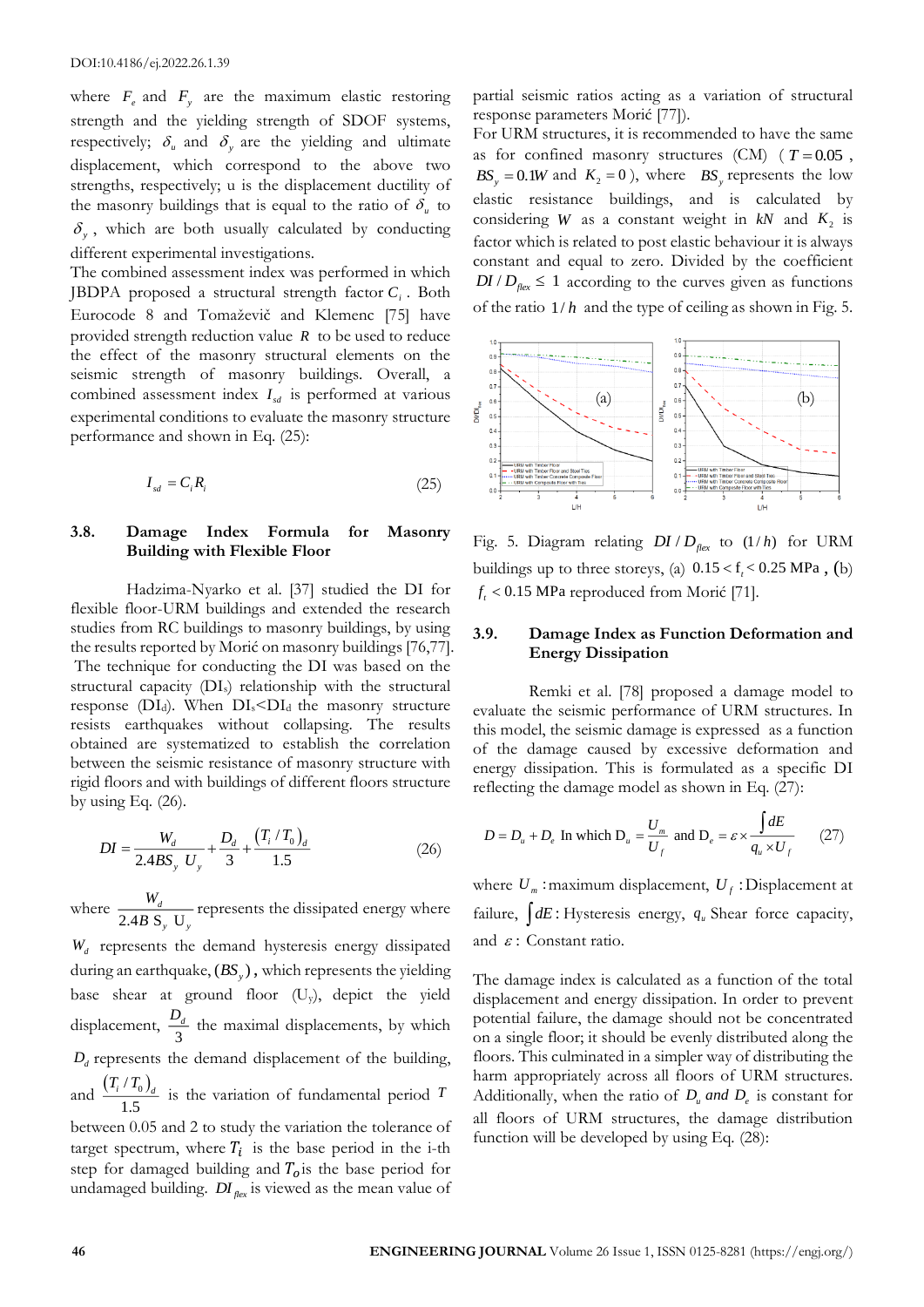where  $F_e$  and  $F_y$  are the maximum elastic restoring strength and the yielding strength of SDOF systems, respectively;  $\delta_u$  and  $\delta_y$  are the yielding and ultimate displacement, which correspond to the above two strengths, respectively; u is the displacement ductility of the masonry buildings that is equal to the ratio of  $\delta_u$  to  $\delta_y$ , which are both usually calculated by conducting different experimental investigations.

The combined assessment index was performed in which JBDPA proposed a structural strength factor *Ci* . Both Eurocode 8 and Tomaževič and Klemenc [75] have provided strength reduction value *R* to be used to reduce the effect of the masonry structural elements on the seismic strength of masonry buildings. Overall, a combined assessment index  $I_{sd}$  is performed at various experimental conditions to evaluate the masonry structure performance and shown in Eq. (25):

$$
I_{sd} = C_i R_i \tag{25}
$$

# **3.8. Damage Index Formula for Masonry Building with Flexible Floor**

Hadzima-Nyarko et al. [37] studied the DI for flexible floor-URM buildings and extended the research studies from RC buildings to masonry buildings, by using the results reported by Morić on masonry buildings [76,77]. The technique for conducting the DI was based on the structural capacity (DIs) relationship with the structural response ( $DI_d$ ). When  $DI_s < DI_d$  the masonry structure resists earthquakes without collapsing. The results obtained are systematized to establish the correlation between the seismic resistance of masonry structure with rigid floors and with buildings of different floors structure by using Eq.  $(26)$ .

$$
DI = \frac{W_d}{2.4BS_y U_y} + \frac{D_d}{3} + \frac{(T_i/T_0)_d}{1.5}
$$
 (26)

where  $\frac{M_d}{2.4B S_u U}$ *d y y W*  $\frac{H_d}{B}$  represents the dissipated energy where *Wd* represents the demand hysteresis energy dissipated during an earthquake,  $(BS_y)$ , which represents the yielding base shear at ground floor (Uy), depict the yield displacement,  $\frac{D_4}{3}$  $\frac{D_d}{\sigma}$  the maximal displacements, by which  $D_d$  represents the demand displacement of the building, and  $\frac{(T_i/T_0)}{T_i}$ 1.5  $\frac{T_i/T_0}{I}$  is the variation of fundamental period *T* between 0.05 and 2 to study the variation the tolerance of target spectrum, where  $T_i$  is the base period in the i-th step for damaged building and  $T<sub>o</sub>$  is the base period for undamaged building. *DI*<sub>*flex*</sub> is viewed as the mean value of

partial seismic ratios acting as a variation of structural response parameters Morić [77]).

For URM structures, it is recommended to have the same as for confined masonry structures  $(CM)$  ( $T=0.05$ ,  $BS_y = 0.1W$  and  $K_2 = 0$ ), where *BS<sub>y</sub>* represents the low elastic resistance buildings, and is calculated by considering *W* as a constant weight in  $kN$  and  $K_2$  is factor which is related to post elastic behaviour it is always constant and equal to zero. Divided by the coefficient  $DI/D_{\text{flex}} \leq 1$  according to the curves given as functions of the ratio 1/ *h* and the type of ceiling as shown in Fig. 5.



Fig. 5. Diagram relating  $DI/D_{flex}$  to  $(1/h)$  for URM buildings up to three storeys, (a)  $0.15 < f<sub>f</sub> < 0.25$  MPa, (b)  $f_t < 0.15$  MPa reproduced from Morić [71].

## **3.9. Damage Index as Function Deformation and Energy Dissipation**

Remki et al. [78] proposed a damage model to evaluate the seismic performance of URM structures. In this model, the seismic damage is expressed as a function of the damage caused by excessive deformation and energy dissipation. This is formulated as a specific DI reflecting the damage model as shown in Eq. (27):

$$
D = D_u + D_e \text{ In which } D_u = \frac{U_m}{U_f} \text{ and } D_e = \varepsilon \times \frac{\int dE}{q_u \times U_f} \qquad (27)
$$

where  $U_m$ : maximum displacement,  $U_f$ : Displacement at failure,  $\int dE$ : Hysteresis energy,  $q_u$  Shear force capacity, and  $\varepsilon$ : Constant ratio.

The damage index is calculated as a function of the total displacement and energy dissipation. In order to prevent potential failure, the damage should not be concentrated on a single floor; it should be evenly distributed along the floors. This culminated in a simpler way of distributing the harm appropriately across all floors of URM structures. Additionally, when the ratio of  $D_u$  *and*  $D_e$  is constant for all floors of URM structures, the damage distribution function will be developed by using Eq. (28):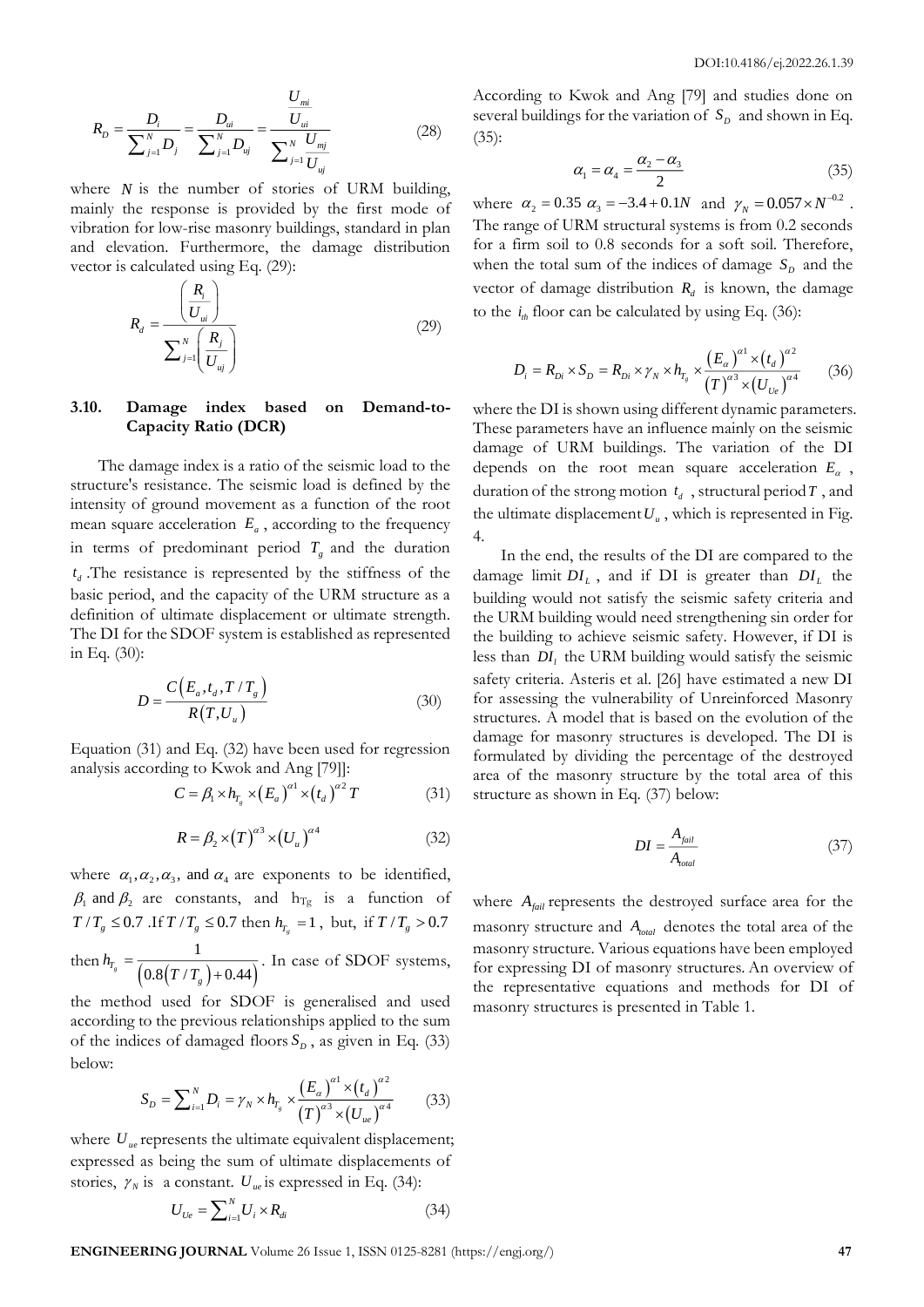$$
R_{D} = \frac{D_{i}}{\sum_{j=1}^{N} D_{j}} = \frac{D_{ui}}{\sum_{j=1}^{N} D_{uj}} = \frac{\frac{U_{mi}}{U_{ui}}}{\sum_{j=1}^{N} \frac{U_{mj}}{U_{uj}}}
$$
(28)

where  $N$  is the number of stories of URM building, mainly the response is provided by the first mode of vibration for low-rise masonry buildings, standard in plan and elevation. Furthermore, the damage distribution vector is calculated using Eq. (29):

$$
R_d = \frac{\left(\frac{R_i}{U_{ui}}\right)}{\sum_{j=1}^N \left(\frac{R_j}{U_{uj}}\right)}
$$
(29)

## **3.10. Damage index based on Demand-to-Capacity Ratio (DCR)**

The damage index is a ratio of the seismic load to the structure's resistance. The seismic load is defined by the intensity of ground movement as a function of the root mean square acceleration  $E_a$ , according to the frequency in terms of predominant period  $T<sub>g</sub>$  and the duration *d t* .The resistance is represented by the stiffness of the basic period, and the capacity of the URM structure as a definition of ultimate displacement or ultimate strength. The DI for the SDOF system is established as represented in Eq. (30):

$$
D = \frac{C(E_a, t_a, T/T_g)}{R(T, U_u)}
$$
\n(30)

Equation (31) and Eq. (32) have been used for regression analysis according to Kwok and Ang [79]]:

$$
C = \beta_1 \times h_{T_s} \times (E_a)^{\alpha 1} \times (t_a)^{\alpha 2} T \tag{31}
$$

$$
R = \beta_2 \times (T)^{\alpha^3} \times (U_u)^{\alpha^4}
$$
 (32)

where  $\alpha_1, \alpha_2, \alpha_3$ , and  $\alpha_4$  are exponents to be identified,  $\beta_1$  and  $\beta_2$  are constants, and  $h_{Tg}$  is a function of  $T/T_g \leq 0.7$  *If*  $T/T_g \leq 0.7$  then  $h_{T_g} = 1$ , but, if  $T/T_g > 0.7$ then  $h_{T_s} = \frac{1}{(0.8(T/T_g) + 0.44)}$ 1  $T_s$ <sup>T<sub>g</sub></sub>  $(0.8(T/T)+0.44)$ </sup> *g h*  $=\frac{1}{(0.8(T/T)+0.44)}$ . In case of SDOF systems,

the method used for SDOF is generalised and used according to the previous relationships applied to the sum of the indices of damaged floors  $S_p$ , as given in Eq. (33) below:

$$
S_D = \sum_{i=1}^{N} D_i = \gamma_N \times h_{T_g} \times \frac{\left(E_{\alpha}\right)^{\alpha_1} \times \left(t_d\right)^{\alpha_2}}{\left(T\right)^{\alpha_3} \times \left(U_{ue}\right)^{\alpha_4}} \tag{33}
$$

where  $U_{ue}$  represents the ultimate equivalent displacement; expressed as being the sum of ultimate displacements of stories,  $\gamma_N$  is a constant.  $U_{ue}$  is expressed in Eq. (34):

$$
U_{U_e} = \sum_{i=1}^{N} U_i \times R_{di}
$$
 (34)

According to Kwok and Ang [79] and studies done on several buildings for the variation of  $S_p$  and shown in Eq. (35):

$$
\alpha_1 = \alpha_4 = \frac{\alpha_2 - \alpha_3}{2} \tag{35}
$$

where  $\alpha_2 = 0.35 \ \alpha_3 = -3.4 + 0.1N$  and  $\gamma_N = 0.057 \times N^{-0.2}$ . The range of URM structural systems is from 0.2 seconds for a firm soil to 0.8 seconds for a soft soil. Therefore, when the total sum of the indices of damage  $S_p$  and the vector of damage distribution  $R_d$  is known, the damage to the  $i_{th}$  floor can be calculated by using Eq. (36):

$$
D_{i} = R_{Di} \times S_{D} = R_{Di} \times \gamma_{N} \times h_{T_{s}} \times \frac{(E_{\alpha})^{a_{1}} \times (t_{d})^{a_{2}}}{(T)^{a_{3}} \times (U_{U_{e}})^{a_{4}}} \qquad (36)
$$

where the DI is shown using different dynamic parameters. These parameters have an influence mainly on the seismic damage of URM buildings. The variation of the DI depends on the root mean square acceleration  $E_a$ , duration of the strong motion  $t_d$ , structural period  $T$ , and the ultimate displacement  $U_u$ , which is represented in Fig. 4.

In the end, the results of the DI are compared to the damage limit  $DI_L$ , and if DI is greater than  $DI_L$  the building would not satisfy the seismic safety criteria and the URM building would need strengthening sin order for the building to achieve seismic safety. However, if DI is less than  $DI<sub>l</sub>$  the URM building would satisfy the seismic safety criteria. Asteris et al. [26] have estimated a new DI for assessing the vulnerability of Unreinforced Masonry structures. A model that is based on the evolution of the damage for masonry structures is developed. The DI is formulated by dividing the percentage of the destroyed area of the masonry structure by the total area of this structure as shown in Eq. (37) below:

$$
DI = \frac{A_{\text{fail}}}{A_{\text{total}}}
$$
 (37)

where  $A_{\text{fail}}$  represents the destroyed surface area for the masonry structure and  $A_{total}$  denotes the total area of the masonry structure. Various equations have been employed for expressing DI of masonry structures. An overview of the representative equations and methods for DI of masonry structures is presented in Table 1.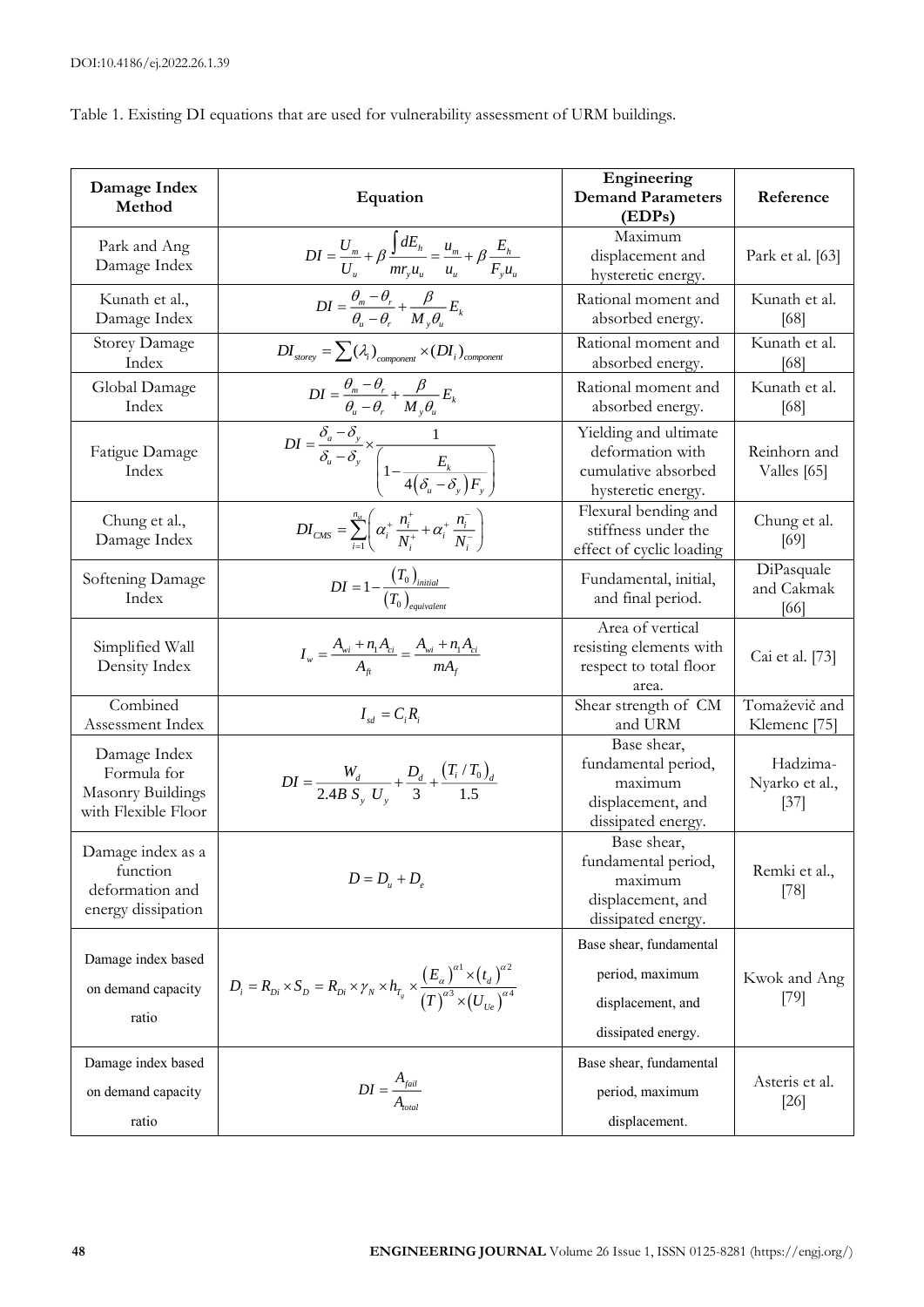Table 1. Existing DI equations that are used for vulnerability assessment of URM buildings.

| Damage Index<br>Method                                                         | Equation                                                                                                                                                                                                                  | Engineering<br><b>Demand Parameters</b><br>(EDPs)                                        | Reference                                |
|--------------------------------------------------------------------------------|---------------------------------------------------------------------------------------------------------------------------------------------------------------------------------------------------------------------------|------------------------------------------------------------------------------------------|------------------------------------------|
| Park and Ang<br>Damage Index                                                   | $DI = \frac{U_m}{U_u} + \beta \, \frac{\int dE_h}{m r_y u_u} = \frac{u_m}{u_u} + \beta \, \frac{E_h}{F_y u_u} \label{eq:DI}$                                                                                              | Maximum<br>displacement and<br>hysteretic energy.                                        | Park et al. [63]                         |
| Kunath et al.,<br>Damage Index                                                 | $DI = \frac{\theta_{m} - \theta_{r}}{\theta_{u} - \theta_{r}} + \frac{\beta}{M_{v} \theta_{u}} E_{k}$                                                                                                                     | Rational moment and<br>absorbed energy.                                                  | Kunath et al.<br>[68]                    |
| <b>Storey Damage</b><br>Index                                                  | $DI_{\textit{storey}} = \sum (\lambda_i)_{\textit{component}} \times (DI_i)_{\textit{component}}$                                                                                                                         | Rational moment and<br>absorbed energy.                                                  | Kunath et al.<br>[68]                    |
| Global Damage<br>Index                                                         |                                                                                                                                                                                                                           | Rational moment and<br>absorbed energy.                                                  | Kunath et al.<br>[68]                    |
| Fatigue Damage<br>Index                                                        | $DI = \frac{\theta_m - \theta_r}{\theta_u - \theta_r} + \frac{\beta}{M_y \theta_u} E_k$<br>$DI = \frac{\delta_a - \delta_y}{\delta_u - \delta_y} \times \frac{1}{\left(1 - \frac{E_k}{4(\delta_u - \delta_y)F_y}\right)}$ | Yielding and ultimate<br>deformation with<br>cumulative absorbed<br>hysteretic energy.   | Reinhorn and<br>Valles [65]              |
| Chung et al.,<br>Damage Index                                                  | $DI_{CMS} = \sum_{i=1}^{n_u} \left( \alpha_i^+ \frac{n_i^+}{N_i^+} + \alpha_i^+ \frac{n_i^-}{N_i^-} \right)$                                                                                                              | Flexural bending and<br>stiffness under the<br>effect of cyclic loading                  | Chung et al.<br>[69]                     |
| Softening Damage<br>Index                                                      | $DI = 1 - \frac{(T_0)_{initial}}{(T_0)_{initial}}$                                                                                                                                                                        | Fundamental, initial,<br>and final period.                                               | DiPasquale<br>and Cakmak<br>[66]         |
| Simplified Wall<br>Density Index                                               | $I_w = \frac{A_{wi} + n_1 A_{ci}}{A_{oc}} = \frac{A_{wi} + n_1 A_{ci}}{m A_{ci}}$                                                                                                                                         | Area of vertical<br>resisting elements with<br>respect to total floor<br>area.           | Cai et al. [73]                          |
| Combined<br>Assessment Index                                                   | $I_{sd} = C_i R_i$                                                                                                                                                                                                        | Shear strength of CM<br>and URM                                                          | Tomaževič and<br>Klemenc <sup>[75]</sup> |
| Damage Index<br>Formula for<br><b>Masonry Buildings</b><br>with Flexible Floor | $DI = \frac{W_d}{2.4B S_v U_v} + \frac{D_d}{3} + \frac{(T_i/T_0)_d}{1.5}$                                                                                                                                                 | Base shear,<br>fundamental period,<br>maximum<br>displacement, and<br>dissipated energy. | Hadzima-<br>Nyarko et al.,<br>$[37]$     |
| Damage index as a<br>function<br>deformation and<br>energy dissipation         | $D = D_u + D_e$                                                                                                                                                                                                           | Base shear,<br>fundamental period,<br>maximum<br>displacement, and<br>dissipated energy. | Remki et al.,<br>$[78]$                  |
| Damage index based                                                             |                                                                                                                                                                                                                           | Base shear, fundamental                                                                  |                                          |
| on demand capacity                                                             | $D_i = R_{Di} \times S_D = R_{Di} \times \gamma_N \times h_{T_s} \times \frac{(E_{\alpha})^{a_1} \times (t_d)^{a_2}}{(T)^{a_3} \times (U_{U_e})^{a_4}}$                                                                   | period, maximum                                                                          | Kwok and Ang                             |
| ratio                                                                          |                                                                                                                                                                                                                           | displacement, and                                                                        | [79]                                     |
|                                                                                |                                                                                                                                                                                                                           | dissipated energy.                                                                       |                                          |
| Damage index based                                                             |                                                                                                                                                                                                                           | Base shear, fundamental                                                                  |                                          |
| on demand capacity                                                             | $DI = \frac{A_{\text{fail}}}{A_{\text{total}}}$                                                                                                                                                                           | period, maximum                                                                          | Asteris et al.<br>$[26]$                 |
| ratio                                                                          |                                                                                                                                                                                                                           | displacement.                                                                            |                                          |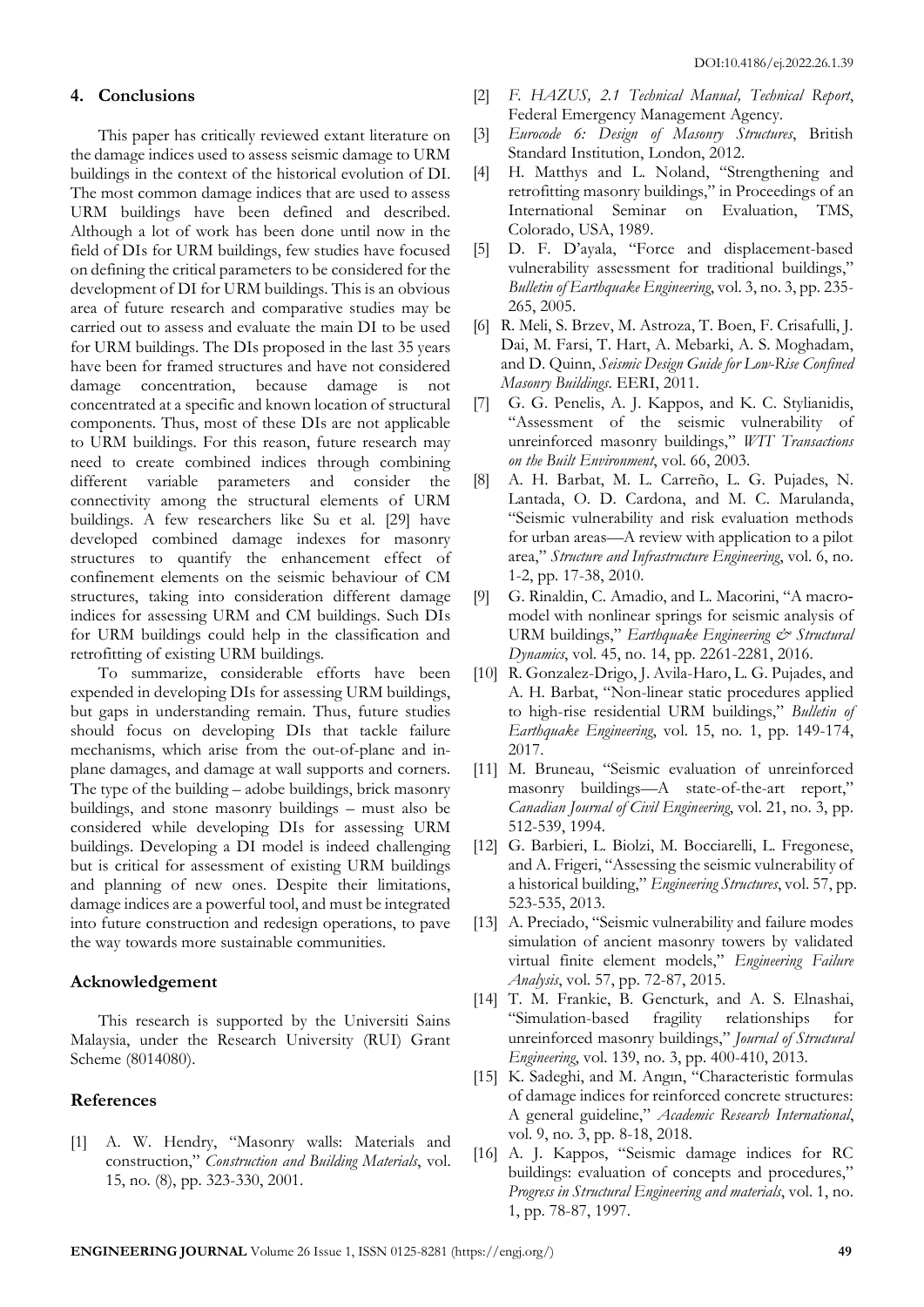## **4. Conclusions**

This paper has critically reviewed extant literature on the damage indices used to assess seismic damage to URM buildings in the context of the historical evolution of DI. The most common damage indices that are used to assess URM buildings have been defined and described. Although a lot of work has been done until now in the field of DIs for URM buildings, few studies have focused on defining the critical parameters to be considered for the development of DI for URM buildings. This is an obvious area of future research and comparative studies may be carried out to assess and evaluate the main DI to be used for URM buildings. The DIs proposed in the last 35 years have been for framed structures and have not considered damage concentration, because damage is not concentrated at a specific and known location of structural components. Thus, most of these DIs are not applicable to URM buildings. For this reason, future research may need to create combined indices through combining different variable parameters and consider the connectivity among the structural elements of URM buildings. A few researchers like Su et al. [29] have developed combined damage indexes for masonry structures to quantify the enhancement effect of confinement elements on the seismic behaviour of CM structures, taking into consideration different damage indices for assessing URM and CM buildings. Such DIs for URM buildings could help in the classification and retrofitting of existing URM buildings.

To summarize, considerable efforts have been expended in developing DIs for assessing URM buildings, but gaps in understanding remain. Thus, future studies should focus on developing DIs that tackle failure mechanisms, which arise from the out-of-plane and inplane damages, and damage at wall supports and corners. The type of the building – adobe buildings, brick masonry buildings, and stone masonry buildings – must also be considered while developing DIs for assessing URM buildings. Developing a DI model is indeed challenging but is critical for assessment of existing URM buildings and planning of new ones. Despite their limitations, damage indices are a powerful tool, and must be integrated into future construction and redesign operations, to pave the way towards more sustainable communities.

#### **Acknowledgement**

This research is supported by the Universiti Sains Malaysia, under the Research University (RUI) Grant Scheme (8014080).

# **References**

[1] A. W. Hendry, "Masonry walls: Materials and construction," *Construction and Building Materials*, vol. 15, no. (8), pp. 323-330, 2001.

- [2] *F. HAZUS, 2.1 Technical Manual, Technical Report*, Federal Emergency Management Agency.
- [3] *Eurocode 6: Design of Masonry Structures*, British Standard Institution, London, 2012.
- [4] H. Matthys and L. Noland, "Strengthening and retrofitting masonry buildings," in Proceedings of an International Seminar on Evaluation, TMS, Colorado, USA, 1989.
- [5] D. F. D'ayala, "Force and displacement-based vulnerability assessment for traditional buildings," *Bulletin of Earthquake Engineering*, vol. 3, no. 3, pp. 235- 265, 2005.
- [6] R. Meli, S. Brzev, M. Astroza, T. Boen, F. Crisafulli, J. Dai, M. Farsi, T. Hart, A. Mebarki, A. S. Moghadam, and D. Quinn, *Seismic Design Guide for Low-Rise Confined Masonry Buildings*. EERI, 2011.
- [7] G. G. Penelis, A. J. Kappos, and K. C. Stylianidis, "Assessment of the seismic vulnerability of unreinforced masonry buildings," *WIT Transactions on the Built Environment*, vol. 66, 2003.
- [8] A. H. Barbat, M. L. Carreño, L. G. Pujades, N. Lantada, O. D. Cardona, and M. C. Marulanda, "Seismic vulnerability and risk evaluation methods for urban areas—A review with application to a pilot area," *Structure and Infrastructure Engineering*, vol. 6, no. 1-2, pp. 17-38, 2010.
- [9] G. Rinaldin, C. Amadio, and L. Macorini, "A macromodel with nonlinear springs for seismic analysis of URM buildings," *Earthquake Engineering & Structural Dynamics*, vol. 45, no. 14, pp. 2261-2281, 2016.
- [10] R. Gonzalez-Drigo, J. Avila-Haro, L. G. Pujades, and A. H. Barbat, "Non-linear static procedures applied to high-rise residential URM buildings," *Bulletin of Earthquake Engineering*, vol. 15, no. 1, pp. 149-174, 2017.
- [11] M. Bruneau, "Seismic evaluation of unreinforced masonry buildings—A state-of-the-art report," *Canadian Journal of Civil Engineering*, vol. 21, no. 3, pp. 512-539, 1994.
- [12] G. Barbieri, L. Biolzi, M. Bocciarelli, L. Fregonese, and A. Frigeri, "Assessing the seismic vulnerability of a historical building," *Engineering Structures*, vol. 57, pp. 523-535, 2013.
- [13] A. Preciado, "Seismic vulnerability and failure modes simulation of ancient masonry towers by validated virtual finite element models," *Engineering Failure Analysis*, vol. 57, pp. 72-87, 2015.
- [14] T. M. Frankie, B. Gencturk, and A. S. Elnashai, "Simulation-based fragility relationships for unreinforced masonry buildings," *Journal of Structural Engineering*, vol. 139, no. 3, pp. 400-410, 2013.
- [15] K. Sadeghi, and M. Angın, "Characteristic formulas of damage indices for reinforced concrete structures: A general guideline," *Academic Research International*, vol. 9, no. 3, pp. 8-18, 2018.
- [16] A. J. Kappos, "Seismic damage indices for RC buildings: evaluation of concepts and procedures," *Progress in Structural Engineering and materials*, vol. 1, no. 1, pp. 78-87, 1997.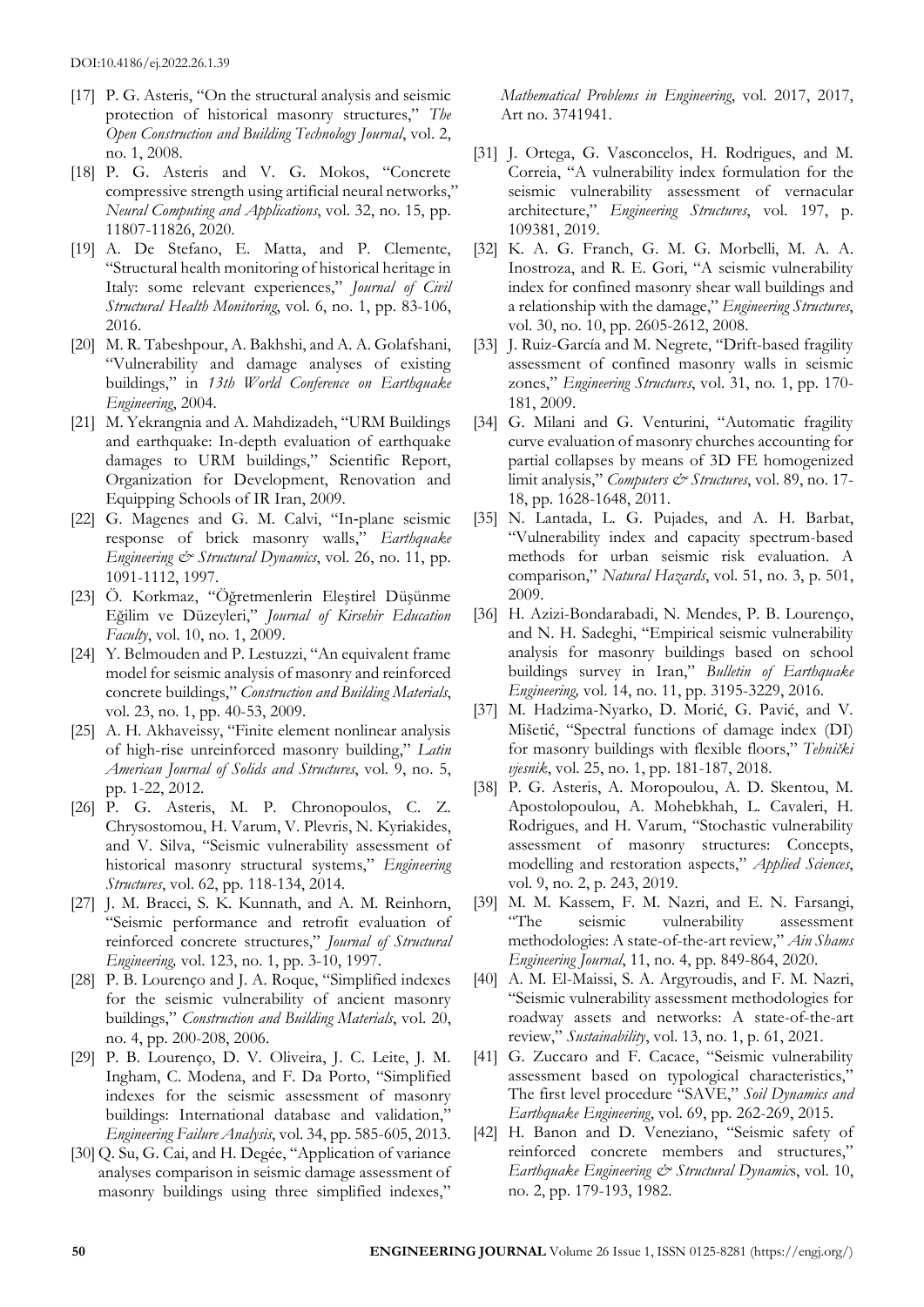- [17] P. G. Asteris, "On the structural analysis and seismic protection of historical masonry structures," *The Open Construction and Building Technology Journal*, vol. 2, no. 1, 2008.
- [18] P. G. Asteris and V. G. Mokos, "Concrete compressive strength using artificial neural networks," *Neural Computing and Applications*, vol. 32, no. 15, pp. 11807-11826, 2020.
- [19] A. De Stefano, E. Matta, and P. Clemente, "Structural health monitoring of historical heritage in Italy: some relevant experiences," *Journal of Civil Structural Health Monitoring*, vol. 6, no. 1, pp. 83-106, 2016.
- [20] M. R. Tabeshpour, A. Bakhshi, and A. A. Golafshani, "Vulnerability and damage analyses of existing buildings," in *13th World Conference on Earthquake Engineering*, 2004.
- [21] M. Yekrangnia and A. Mahdizadeh, "URM Buildings and earthquake: In-depth evaluation of earthquake damages to URM buildings," Scientific Report, Organization for Development, Renovation and Equipping Schools of IR Iran, 2009.
- [22] G. Magenes and G. M. Calvi, "In-plane seismic response of brick masonry walls," *Earthquake Engineering & Structural Dynamics*, vol. 26, no. 11, pp. 1091-1112, 1997.
- [23] Ö. Korkmaz, "Öğretmenlerin Eleştirel Düşünme Eğilim ve Düzeyleri," *Journal of Kirsehir Education Faculty*, vol. 10, no. 1, 2009.
- [24] Y. Belmouden and P. Lestuzzi, "An equivalent frame model for seismic analysis of masonry and reinforced concrete buildings," *Construction and Building Materials*, vol. 23, no. 1, pp. 40-53, 2009.
- [25] A. H. Akhaveissy, "Finite element nonlinear analysis of high-rise unreinforced masonry building," *Latin American Journal of Solids and Structures*, vol. 9, no. 5, pp. 1-22, 2012.
- [26] P. G. Asteris, M. P. Chronopoulos, C. Z. Chrysostomou, H. Varum, V. Plevris, N. Kyriakides, and V. Silva, "Seismic vulnerability assessment of historical masonry structural systems," *Engineering Structures*, vol. 62, pp. 118-134, 2014.
- [27] J. M. Bracci, S. K. Kunnath, and A. M. Reinhorn, "Seismic performance and retrofit evaluation of reinforced concrete structures," *Journal of Structural Engineering,* vol. 123, no. 1, pp. 3-10, 1997.
- [28] P. B. Lourenço and J. A. Roque, "Simplified indexes for the seismic vulnerability of ancient masonry buildings," *Construction and Building Materials*, vol. 20, no. 4, pp. 200-208, 2006.
- [29] P. B. Lourenço, D. V. Oliveira, J. C. Leite, J. M. Ingham, C. Modena, and F. Da Porto, "Simplified indexes for the seismic assessment of masonry buildings: International database and validation," *Engineering Failure Analysis*, vol. 34, pp. 585-605, 2013.
- [30] Q. Su, G. Cai, and H. Degée, "Application of variance analyses comparison in seismic damage assessment of masonry buildings using three simplified indexes,"

*Mathematical Problems in Engineering*, vol. 2017, 2017, Art no. 3741941.

- [31] J. Ortega, G. Vasconcelos, H. Rodrigues, and M. Correia, "A vulnerability index formulation for the seismic vulnerability assessment of vernacular architecture," *Engineering Structures*, vol. 197, p. 109381, 2019.
- [32] K. A. G. Franch, G. M. G. Morbelli, M. A. A. Inostroza, and R. E. Gori, "A seismic vulnerability index for confined masonry shear wall buildings and a relationship with the damage," *Engineering Structures*, vol. 30, no. 10, pp. 2605-2612, 2008.
- [33] J. Ruiz-García and M. Negrete, "Drift-based fragility assessment of confined masonry walls in seismic zones," *Engineering Structures*, vol. 31, no. 1, pp. 170- 181, 2009.
- [34] G. Milani and G. Venturini, "Automatic fragility curve evaluation of masonry churches accounting for partial collapses by means of 3D FE homogenized limit analysis," *Computers*  $\acute{c}$ <sup>2</sup> *Structures*, vol. 89, no. 17-18, pp. 1628-1648, 2011.
- [35] N. Lantada, L. G. Pujades, and A. H. Barbat, "Vulnerability index and capacity spectrum-based methods for urban seismic risk evaluation. A comparison," *Natural Hazards*, vol. 51, no. 3, p. 501, 2009.
- [36] H. Azizi-Bondarabadi, N. Mendes, P. B. Lourenço, and N. H. Sadeghi, "Empirical seismic vulnerability analysis for masonry buildings based on school buildings survey in Iran," *Bulletin of Earthquake Engineering,* vol. 14, no. 11, pp. 3195-3229, 2016.
- [37] M. Hadzima-Nyarko, D. Morić, G. Pavić, and V. Mišetić, "Spectral functions of damage index (DI) for masonry buildings with flexible floors," *Tehnički vjesnik*, vol. 25, no. 1, pp. 181-187, 2018.
- [38] P. G. Asteris, A. Moropoulou, A. D. Skentou, M. Apostolopoulou, A. Mohebkhah, L. Cavaleri, H. Rodrigues, and H. Varum, "Stochastic vulnerability assessment of masonry structures: Concepts, modelling and restoration aspects," *Applied Sciences*, vol. 9, no. 2, p. 243, 2019.
- [39] M. M. Kassem, F. M. Nazri, and E. N. Farsangi, seismic vulnerability assessment methodologies: A state-of-the-art review," *Ain Shams Engineering Journal*, 11, no. 4, pp. 849-864, 2020.
- [40] A. M. El-Maissi, S. A. Argyroudis, and F. M. Nazri, "Seismic vulnerability assessment methodologies for roadway assets and networks: A state-of-the-art review," *Sustainability*, vol. 13, no. 1, p. 61, 2021.
- [41] G. Zuccaro and F. Cacace, "Seismic vulnerability assessment based on typological characteristics," The first level procedure "SAVE," *Soil Dynamics and Earthquake Engineering*, vol. 69, pp. 262-269, 2015.
- [42] H. Banon and D. Veneziano, "Seismic safety of reinforced concrete members and structures," *Earthquake Engineering & Structural Dynamic*s, vol. 10, no. 2, pp. 179-193, 1982.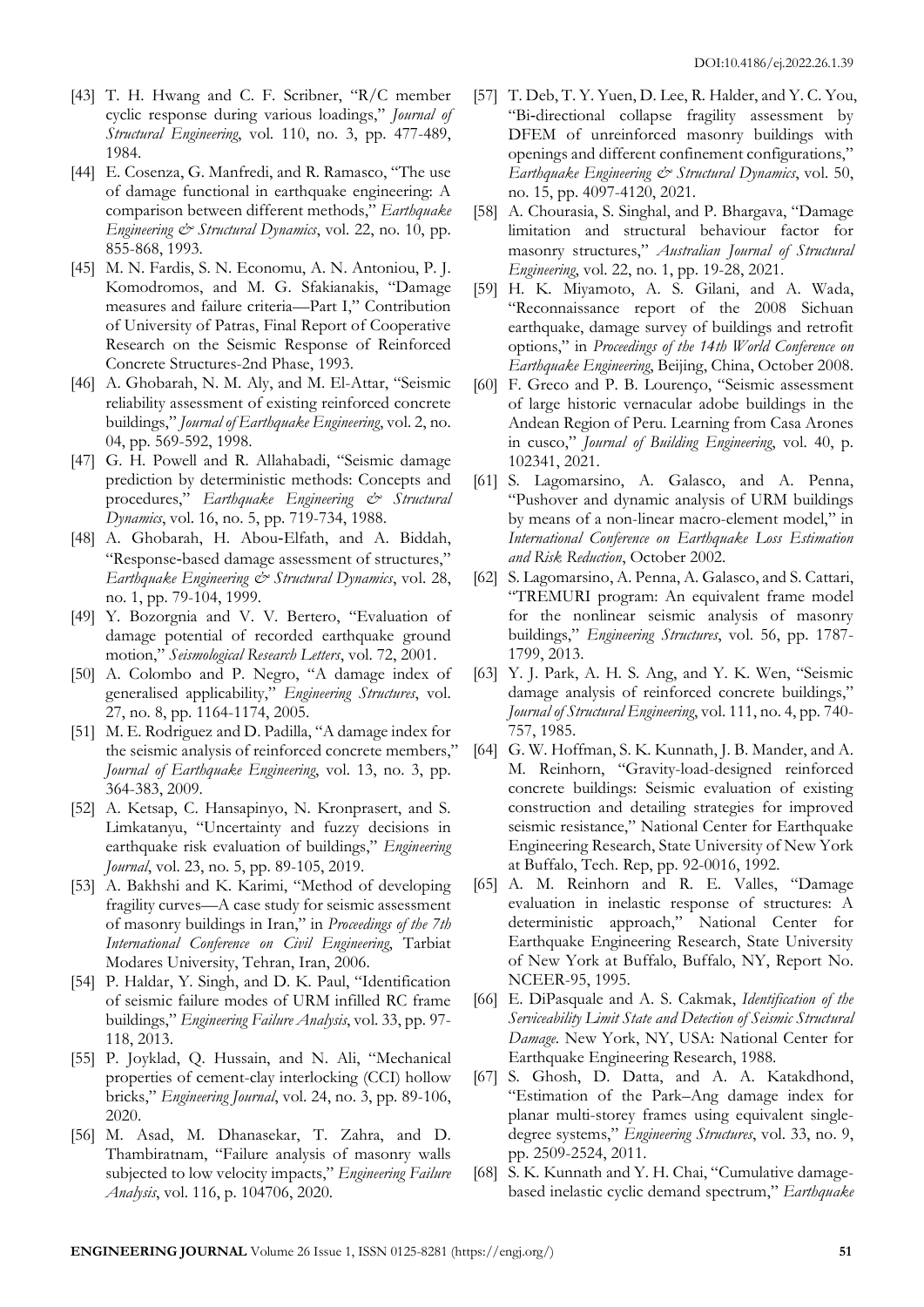- [43] T. H. Hwang and C. F. Scribner, "R/C member cyclic response during various loadings," *Journal of Structural Engineering*, vol. 110, no. 3, pp. 477-489, 1984.
- [44] E. Cosenza, G. Manfredi, and R. Ramasco, "The use of damage functional in earthquake engineering: A comparison between different methods," *Earthquake Engineering & Structural Dynamics*, vol. 22, no. 10, pp. 855-868, 1993.
- [45] M. N. Fardis, S. N. Economu, A. N. Antoniou, P. J. Komodromos, and M. G. Sfakianakis, "Damage measures and failure criteria—Part I," Contribution of University of Patras, Final Report of Cooperative Research on the Seismic Response of Reinforced Concrete Structures-2nd Phase, 1993.
- [46] A. Ghobarah, N. M. Aly, and M. El-Attar, "Seismic reliability assessment of existing reinforced concrete buildings," *Journal of Earthquake Engineering*, vol. 2, no. 04, pp. 569-592, 1998.
- [47] G. H. Powell and R. Allahabadi, "Seismic damage prediction by deterministic methods: Concepts and procedures," *Earthquake Engineering & Structural Dynamics*, vol. 16, no. 5, pp. 719-734, 1988.
- [48] A. Ghobarah, H. Abou‐Elfath, and A. Biddah, "Response‐based damage assessment of structures," *Earthquake Engineering & Structural Dynamics*, vol. 28, no. 1, pp. 79-104, 1999.
- [49] Y. Bozorgnia and V. V. Bertero, "Evaluation of damage potential of recorded earthquake ground motion," *Seismological Research Letters*, vol. 72, 2001.
- [50] A. Colombo and P. Negro, "A damage index of generalised applicability," *Engineering Structures*, vol. 27, no. 8, pp. 1164-1174, 2005.
- [51] M. E. Rodriguez and D. Padilla, "A damage index for the seismic analysis of reinforced concrete members," *Journal of Earthquake Engineering*, vol. 13, no. 3, pp. 364-383, 2009.
- [52] A. Ketsap, C. Hansapinyo, N. Kronprasert, and S. Limkatanyu, "Uncertainty and fuzzy decisions in earthquake risk evaluation of buildings," *Engineering Journal*, vol. 23, no. 5, pp. 89-105, 2019.
- [53] A. Bakhshi and K. Karimi, "Method of developing fragility curves—A case study for seismic assessment of masonry buildings in Iran," in *Proceedings of the 7th International Conference on Civil Engineering*, Tarbiat Modares University, Tehran, Iran, 2006.
- [54] P. Haldar, Y. Singh, and D. K. Paul, "Identification of seismic failure modes of URM infilled RC frame buildings," *Engineering Failure Analysis*, vol. 33, pp. 97- 118, 2013.
- [55] P. Joyklad, Q. Hussain, and N. Ali, "Mechanical properties of cement-clay interlocking (CCI) hollow bricks," *Engineering Journal*, vol. 24, no. 3, pp. 89-106, 2020.
- [56] M. Asad, M. Dhanasekar, T. Zahra, and D. Thambiratnam, "Failure analysis of masonry walls subjected to low velocity impacts," *Engineering Failure Analysis*, vol. 116, p. 104706, 2020.
- [57] T. Deb, T. Y. Yuen, D. Lee, R. Halder, and Y. C. You, "Bi‐directional collapse fragility assessment by DFEM of unreinforced masonry buildings with openings and different confinement configurations," *Earthquake Engineering & Structural Dynamics*, vol. 50, no. 15, pp. 4097-4120, 2021.
- [58] A. Chourasia, S. Singhal, and P. Bhargava, "Damage limitation and structural behaviour factor for masonry structures," *Australian Journal of Structural Engineering*, vol. 22, no. 1, pp. 19-28, 2021.
- [59] H. K. Miyamoto, A. S. Gilani, and A. Wada, "Reconnaissance report of the 2008 Sichuan earthquake, damage survey of buildings and retrofit options," in *Proceedings of the 14th World Conference on Earthquake Engineering*, Beijing, China, October 2008.
- [60] F. Greco and P. B. Lourenço, "Seismic assessment of large historic vernacular adobe buildings in the Andean Region of Peru. Learning from Casa Arones in cusco," *Journal of Building Engineering*, vol. 40, p. 102341, 2021.
- [61] S. Lagomarsino, A. Galasco, and A. Penna, "Pushover and dynamic analysis of URM buildings by means of a non-linear macro-element model," in *International Conference on Earthquake Loss Estimation and Risk Reduction*, October 2002.
- [62] S. Lagomarsino, A. Penna, A. Galasco, and S. Cattari, "TREMURI program: An equivalent frame model for the nonlinear seismic analysis of masonry buildings," *Engineering Structures*, vol. 56, pp. 1787- 1799, 2013.
- [63] Y. J. Park, A. H. S. Ang, and Y. K. Wen, "Seismic damage analysis of reinforced concrete buildings," *Journal of Structural Engineering*, vol. 111, no. 4, pp. 740- 757, 1985.
- [64] G. W. Hoffman, S. K. Kunnath, J. B. Mander, and A. M. Reinhorn, "Gravity-load-designed reinforced concrete buildings: Seismic evaluation of existing construction and detailing strategies for improved seismic resistance," National Center for Earthquake Engineering Research, State University of New York at Buffalo, Tech. Rep, pp. 92-0016, 1992.
- [65] A. M. Reinhorn and R. E. Valles, "Damage evaluation in inelastic response of structures: A deterministic approach," National Center for Earthquake Engineering Research, State University of New York at Buffalo, Buffalo, NY, Report No. NCEER-95, 1995.
- [66] E. DiPasquale and A. S. Cakmak, *Identification of the Serviceability Limit State and Detection of Seismic Structural Damage*. New York, NY, USA: National Center for Earthquake Engineering Research, 1988.
- [67] S. Ghosh, D. Datta, and A. A. Katakdhond, "Estimation of the Park–Ang damage index for planar multi-storey frames using equivalent singledegree systems," *Engineering Structures*, vol. 33, no. 9, pp. 2509-2524, 2011.
- [68] S. K. Kunnath and Y. H. Chai, "Cumulative damagebased inelastic cyclic demand spectrum," *Earthquake*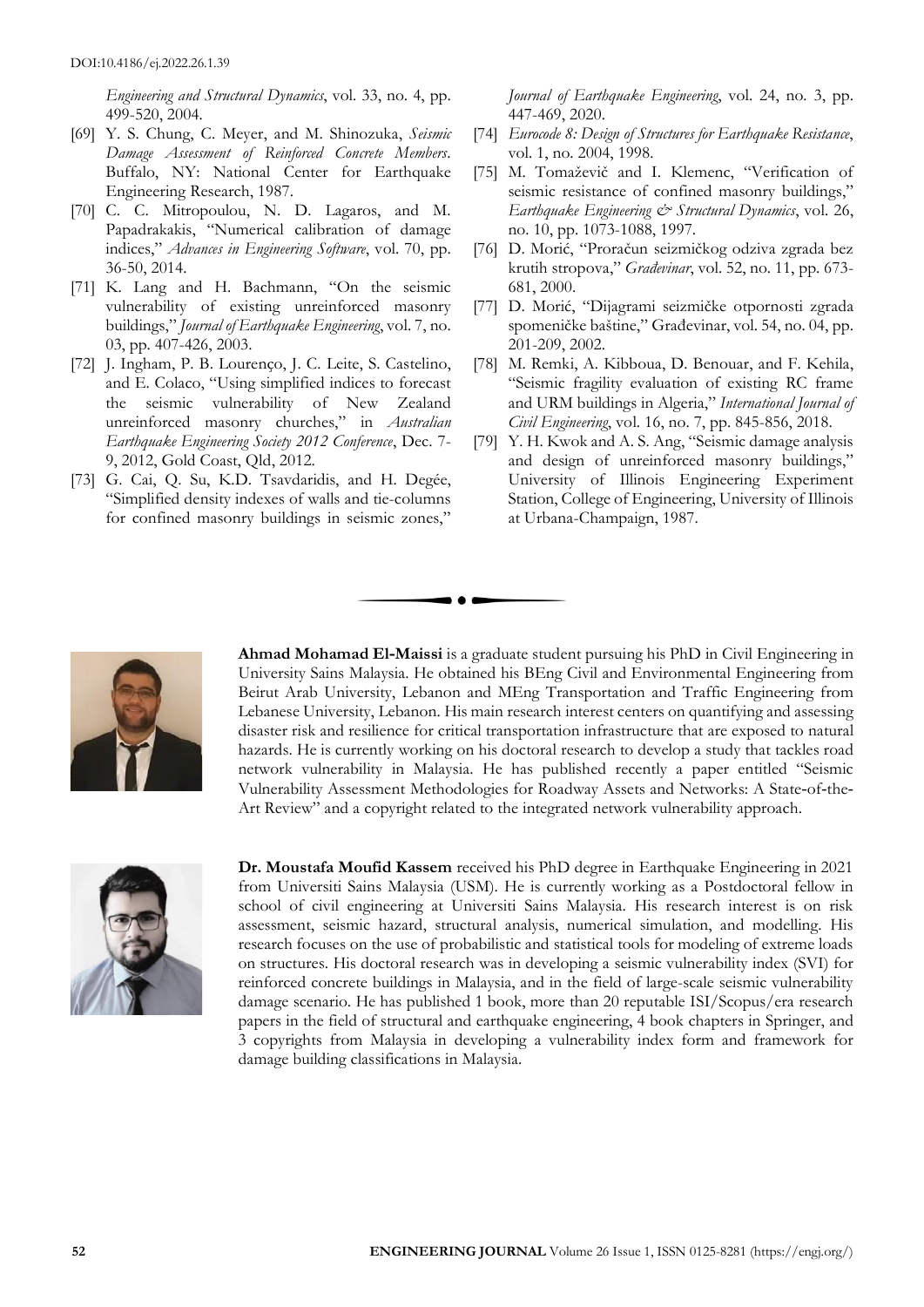*Engineering and Structural Dynamics*, vol. 33, no. 4, pp. 499-520, 2004.

- [69] Y. S. Chung, C. Meyer, and M. Shinozuka, *Seismic Damage Assessment of Reinforced Concrete Members*. Buffalo, NY: National Center for Earthquake Engineering Research, 1987.
- [70] C. C. Mitropoulou, N. D. Lagaros, and M. Papadrakakis, "Numerical calibration of damage indices," *Advances in Engineering Software*, vol. 70, pp. 36-50, 2014.
- [71] K. Lang and H. Bachmann, "On the seismic vulnerability of existing unreinforced masonry buildings," *Journal of Earthquake Engineering*, vol. 7, no. 03, pp. 407-426, 2003.
- [72] J. Ingham, P. B. Lourenço, J. C. Leite, S. Castelino, and E. Colaco, "Using simplified indices to forecast the seismic vulnerability of New Zealand unreinforced masonry churches," in *Australian Earthquake Engineering Society 2012 Conference*, Dec. 7- 9, 2012, Gold Coast, Qld, 2012.
- [73] G. Cai, Q. Su, K.D. Tsavdaridis, and H. Degée, "Simplified density indexes of walls and tie-columns for confined masonry buildings in seismic zones,"

*Journal of Earthquake Engineering*, vol. 24, no. 3, pp. 447-469, 2020.

- [74] *Eurocode 8: Design of Structures for Earthquake Resistance*, vol. 1, no. 2004, 1998.
- [75] M. Tomaževič and I. Klemenc, "Verification of seismic resistance of confined masonry buildings," *Earthquake Engineering & Structural Dynamics*, vol. 26, no. 10, pp. 1073-1088, 1997.
- [76] D. Morić, "Proračun seizmičkog odziva zgrada bez krutih stropova," *Građevinar*, vol. 52, no. 11, pp. 673- 681, 2000.
- [77] D. Morić, "Dijagrami seizmičke otpornosti zgrada spomeničke baštine," Građevinar, vol. 54, no. 04, pp. 201-209, 2002.
- [78] M. Remki, A. Kibboua, D. Benouar, and F. Kehila, "Seismic fragility evaluation of existing RC frame and URM buildings in Algeria," *International Journal of Civil Engineering*, vol. 16, no. 7, pp. 845-856, 2018.
- [79] Y. H. Kwok and A. S. Ang, "Seismic damage analysis and design of unreinforced masonry buildings," University of Illinois Engineering Experiment Station, College of Engineering, University of Illinois at Urbana-Champaign, 1987.



**Ahmad Mohamad El‐Maissi** is a graduate student pursuing his PhD in Civil Engineering in University Sains Malaysia. He obtained his BEng Civil and Environmental Engineering from Beirut Arab University, Lebanon and MEng Transportation and Traffic Engineering from Lebanese University, Lebanon. His main research interest centers on quantifying and assessing disaster risk and resilience for critical transportation infrastructure that are exposed to natural hazards. He is currently working on his doctoral research to develop a study that tackles road network vulnerability in Malaysia. He has published recently a paper entitled "Seismic Vulnerability Assessment Methodologies for Roadway Assets and Networks: A State‐of‐the‐ Art Review" and a copyright related to the integrated network vulnerability approach.

 $\bullet$   $\bullet$ 



**Dr. Moustafa Moufid Kassem** received his PhD degree in Earthquake Engineering in 2021 from Universiti Sains Malaysia (USM). He is currently working as a Postdoctoral fellow in school of civil engineering at Universiti Sains Malaysia. His research interest is on risk assessment, seismic hazard, structural analysis, numerical simulation, and modelling. His research focuses on the use of probabilistic and statistical tools for modeling of extreme loads on structures. His doctoral research was in developing a seismic vulnerability index (SVI) for reinforced concrete buildings in Malaysia, and in the field of large-scale seismic vulnerability damage scenario. He has published 1 book, more than 20 reputable ISI/Scopus/era research papers in the field of structural and earthquake engineering, 4 book chapters in Springer, and 3 copyrights from Malaysia in developing a vulnerability index form and framework for damage building classifications in Malaysia.